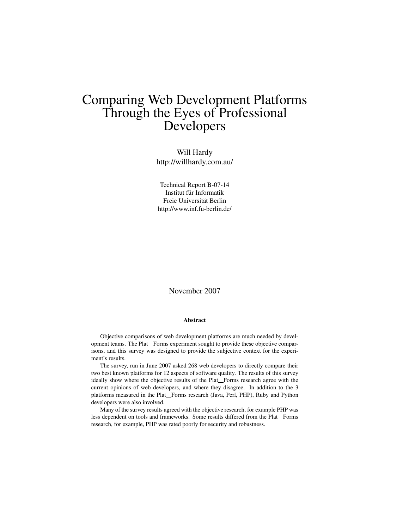# Comparing Web Development Platforms Through the Eyes of Professional Developers

Will Hardy http://willhardy.com.au/

Technical Report B-07-14 Institut für Informatik Freie Universität Berlin http://www.inf.fu-berlin.de/

November 2007

#### Abstract

Objective comparisons of web development platforms are much needed by development teams. The Plat<sub>Forms</sub> experiment sought to provide these objective comparisons, and this survey was designed to provide the subjective context for the experiment's results.

The survey, run in June 2007 asked 268 web developers to directly compare their two best known platforms for 12 aspects of software quality. The results of this survey ideally show where the objective results of the Plat<sub>-Forms</sub> research agree with the current opinions of web developers, and where they disagree. In addition to the 3 platforms measured in the Plat\_Forms research (Java, Perl, PHP), Ruby and Python developers were also involved.

Many of the survey results agreed with the objective research, for example PHP was less dependent on tools and frameworks. Some results differed from the Plat\_Forms research, for example, PHP was rated poorly for security and robustness.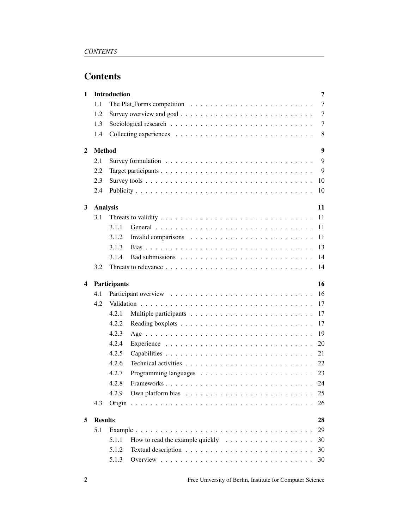# **Contents**

| 1 |                 | <b>Introduction</b> |                                                                                      | 7  |
|---|-----------------|---------------------|--------------------------------------------------------------------------------------|----|
|   | 1.1             |                     | The Plat Forms competition $\ldots \ldots \ldots \ldots \ldots \ldots \ldots \ldots$ | 7  |
|   | 1.2             |                     |                                                                                      | 7  |
|   | 1.3             |                     |                                                                                      | 7  |
|   | 1.4             |                     |                                                                                      | 8  |
| 2 | <b>Method</b>   |                     |                                                                                      | 9  |
|   | 2.1             |                     |                                                                                      | 9  |
|   | 2.2             |                     |                                                                                      | 9  |
|   | 2.3             |                     |                                                                                      | 10 |
|   | 2.4             |                     |                                                                                      | 10 |
| 3 | <b>Analysis</b> |                     |                                                                                      | 11 |
|   | 3.1             |                     |                                                                                      | 11 |
|   |                 | 3.1.1               |                                                                                      | 11 |
|   |                 | 3.1.2               |                                                                                      | 11 |
|   |                 | 3.1.3               |                                                                                      | 13 |
|   |                 | 3.1.4               |                                                                                      | 14 |
|   | 3.2             |                     |                                                                                      | 14 |
|   |                 |                     |                                                                                      |    |
| 4 |                 | Participants        |                                                                                      | 16 |
|   | 4.1             |                     |                                                                                      | 16 |
|   | 4.2             |                     |                                                                                      | 17 |
|   |                 | 4.2.1               |                                                                                      | 17 |
|   |                 | 4.2.2               |                                                                                      | 17 |
|   |                 | 4.2.3               |                                                                                      | 19 |
|   |                 | 4.2.4               |                                                                                      | 20 |
|   |                 | 4.2.5               |                                                                                      | 21 |
|   |                 | 4.2.6               |                                                                                      | 22 |
|   |                 | 4.2.7               |                                                                                      | 23 |
|   |                 | 4.2.8               | Frameworks                                                                           | 24 |
|   |                 | 4.2.9               |                                                                                      | 25 |
|   | 4.3             |                     |                                                                                      | 26 |
| 5 | <b>Results</b>  |                     |                                                                                      | 28 |
|   | 5.1             |                     |                                                                                      | 29 |
|   |                 | 5.1.1               | How to read the example quickly $\dots \dots \dots \dots \dots \dots \dots$          | 30 |
|   |                 | 5.1.2               |                                                                                      | 30 |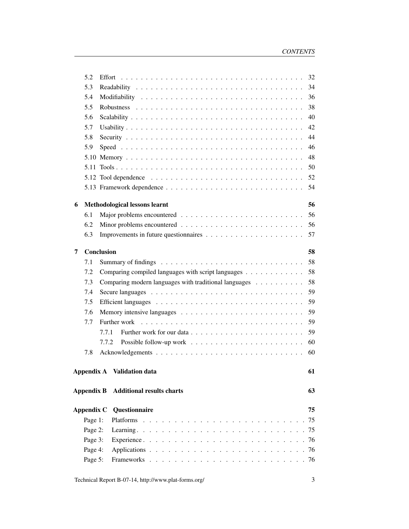|   | 5.2               | 32                                                          |
|---|-------------------|-------------------------------------------------------------|
|   | 5.3               | 34                                                          |
|   | 5.4               | 36                                                          |
|   | 5.5               | 38                                                          |
|   | 5.6               | 40                                                          |
|   | 5.7               | 42                                                          |
|   | 5.8               | 44                                                          |
|   | 5.9               | 46                                                          |
|   |                   | 48                                                          |
|   | 5.11              | 50                                                          |
|   |                   | 52                                                          |
|   |                   | 54                                                          |
|   |                   | 56                                                          |
| 6 |                   | <b>Methodological lessons learnt</b>                        |
|   | 6.1<br>6.2        | 56                                                          |
|   | 6.3               | 56<br>57                                                    |
|   |                   |                                                             |
| 7 |                   | 58<br>Conclusion                                            |
|   | 7.1               | 58                                                          |
|   | 7.2               | Comparing compiled languages with script languages<br>58    |
|   | 7.3               | 58<br>Comparing modern languages with traditional languages |
|   | 7.4               | 59                                                          |
|   | 7.5               | 59                                                          |
|   | 7.6               | 59                                                          |
|   | 7.7               | 59                                                          |
|   |                   | 59<br>7.7.1                                                 |
|   |                   | 60<br>7.7.2                                                 |
|   | 7.8               | 60                                                          |
|   |                   | <b>Appendix A</b> Validation data<br>61                     |
|   |                   |                                                             |
|   | <b>Appendix B</b> | <b>Additional results charts</b><br>63                      |
|   | Appendix C        | Questionnaire<br>75                                         |
|   | Page 1:           | 75                                                          |
|   | Page 2:           |                                                             |
|   | Page 3:           |                                                             |
|   | Page 4:           |                                                             |
|   | Page 5:           |                                                             |
|   |                   |                                                             |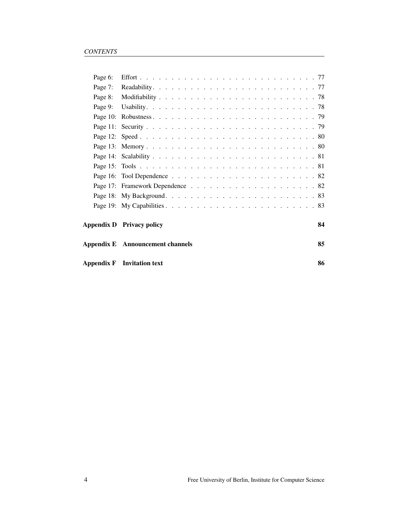|         | Appendix F Invitation text              | 86 |
|---------|-----------------------------------------|----|
|         | <b>Appendix E</b> Announcement channels | 85 |
|         | Appendix D Privacy policy               | 84 |
|         |                                         |    |
|         |                                         |    |
|         |                                         |    |
|         |                                         |    |
|         |                                         |    |
|         |                                         |    |
|         |                                         |    |
|         |                                         |    |
|         |                                         |    |
|         |                                         |    |
| Page 9: |                                         |    |
| Page 8: |                                         |    |
| Page 7: |                                         |    |
| Page 6: |                                         |    |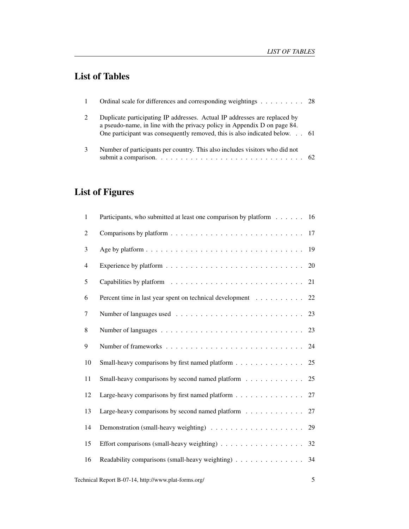# List of Tables

|   | Ordinal scale for differences and corresponding weightings 28                                                                                                                                                                       |  |
|---|-------------------------------------------------------------------------------------------------------------------------------------------------------------------------------------------------------------------------------------|--|
|   | Duplicate participating IP addresses. Actual IP addresses are replaced by<br>a pseudo-name, in line with the privacy policy in Appendix D on page 84.<br>One participant was consequently removed, this is also indicated below. 61 |  |
| 3 | Number of participants per country. This also includes visitors who did not<br>submit a comparison. $\ldots \ldots \ldots \ldots \ldots \ldots \ldots \ldots \ldots \ldots \ldots$ 62                                               |  |

# List of Figures

| 1              | Participants, who submitted at least one comparison by platform 16                      |    |
|----------------|-----------------------------------------------------------------------------------------|----|
| $\overline{2}$ |                                                                                         | 17 |
| 3              |                                                                                         |    |
| 4              |                                                                                         | 20 |
| 5              |                                                                                         |    |
| 6              | Percent time in last year spent on technical development 22                             |    |
| $\tau$         |                                                                                         |    |
| 8              |                                                                                         |    |
| 9              |                                                                                         |    |
| 10             | Small-heavy comparisons by first named platform 25                                      |    |
| 11             | Small-heavy comparisons by second named platform 25                                     |    |
| 12             | Large-heavy comparisons by first named platform $\ldots \ldots \ldots \ldots \ldots 27$ |    |
| 13             | Large-heavy comparisons by second named platform $\ldots \ldots \ldots \ldots$ 27       |    |
| 14             |                                                                                         |    |
| 15             |                                                                                         | 32 |
| 16             | Readability comparisons (small-heavy weighting)                                         | 34 |
|                | Technical Report B-07-14, http://www.plat-forms.org/                                    | 5  |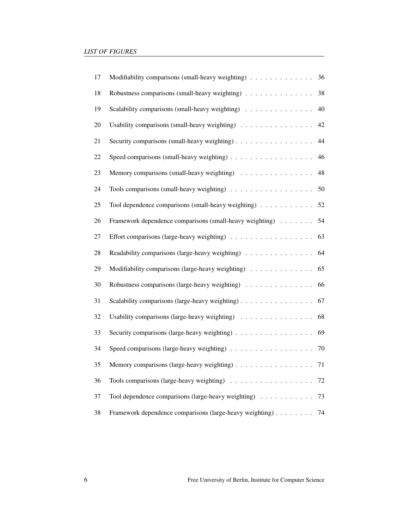| 17     | Modifiability comparisons (small-heavy weighting)           | 36 |
|--------|-------------------------------------------------------------|----|
| 18     | Robustness comparisons (small-heavy weighting)              | 38 |
| 19     | Scalability comparisons (small-heavy weighting)             | 40 |
| $20\,$ | Usability comparisons (small-heavy weighting)               | 42 |
| 21     | Security comparisons (small-heavy weighting)                | 44 |
| 22     | Speed comparisons (small-heavy weighting)                   | 46 |
| 23     | Memory comparisons (small-heavy weighting)                  | 48 |
| 24     |                                                             | 50 |
| 25     | Tool dependence comparisons (small-heavy weighting)         | 52 |
| 26     | Framework dependence comparisons (small-heavy weighting)    | 54 |
| $27\,$ |                                                             | 63 |
| 28     | Readability comparisons (large-heavy weighting)             | 64 |
| 29     | Modifiability comparisons (large-heavy weighting)           | 65 |
| 30     | Robustness comparisons (large-heavy weighting)              | 66 |
| 31     | Scalability comparisons (large-heavy weighting)             | 67 |
| 32     | Usability comparisons (large-heavy weighting)               | 68 |
| 33     | Security comparisons (large-heavy weighting)                | 69 |
| 34     | Speed comparisons (large-heavy weighting)                   | 70 |
| 35     | Memory comparisons (large-heavy weighting)                  | 71 |
| 36     |                                                             | 72 |
| 37     | Tool dependence comparisons (large-heavy weighting)         | 73 |
| 38     | Framework dependence comparisons (large-heavy weighting) 74 |    |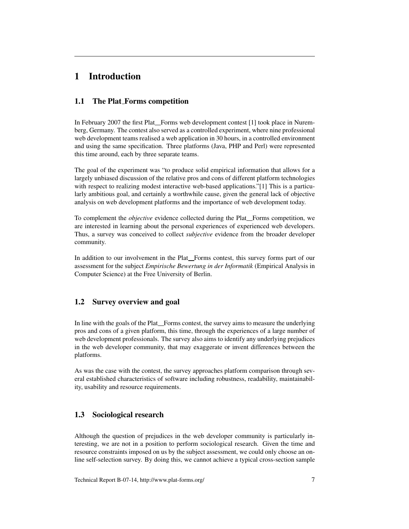# 1 Introduction

# 1.1 The Plat Forms competition

In February 2007 the first Plat Forms web development contest  $[1]$  took place in Nuremberg, Germany. The contest also served as a controlled experiment, where nine professional web development teams realised a web application in 30 hours, in a controlled environment and using the same specification. Three platforms (Java, PHP and Perl) were represented this time around, each by three separate teams.

The goal of the experiment was "to produce solid empirical information that allows for a largely unbiased discussion of the relative pros and cons of different platform technologies with respect to realizing modest interactive web-based applications."[1] This is a particularly ambitious goal, and certainly a worthwhile cause, given the general lack of objective analysis on web development platforms and the importance of web development today.

To complement the *objective* evidence collected during the Plat<sub>-Forms</sub> competition, we are interested in learning about the personal experiences of experienced web developers. Thus, a survey was conceived to collect *subjective* evidence from the broader developer community.

In addition to our involvement in the Plat<sub>Torms</sub> contest, this survey forms part of our assessment for the subject *Empirische Bewertung in der Informatik* (Empirical Analysis in Computer Science) at the Free University of Berlin.

# 1.2 Survey overview and goal

In line with the goals of the Plat<sub>rich</sub> Forms contest, the survey aims to measure the underlying pros and cons of a given platform, this time, through the experiences of a large number of web development professionals. The survey also aims to identify any underlying prejudices in the web developer community, that may exaggerate or invent differences between the platforms.

As was the case with the contest, the survey approaches platform comparison through several established characteristics of software including robustness, readability, maintainability, usability and resource requirements.

# 1.3 Sociological research

Although the question of prejudices in the web developer community is particularly interesting, we are not in a position to perform sociological research. Given the time and resource constraints imposed on us by the subject assessment, we could only choose an online self-selection survey. By doing this, we cannot achieve a typical cross-section sample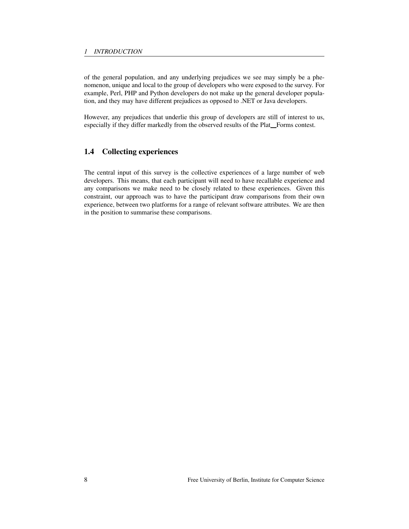of the general population, and any underlying prejudices we see may simply be a phenomenon, unique and local to the group of developers who were exposed to the survey. For example, Perl, PHP and Python developers do not make up the general developer population, and they may have different prejudices as opposed to .NET or Java developers.

However, any prejudices that underlie this group of developers are still of interest to us, especially if they differ markedly from the observed results of the Plat\_Forms contest.

# 1.4 Collecting experiences

The central input of this survey is the collective experiences of a large number of web developers. This means, that each participant will need to have recallable experience and any comparisons we make need to be closely related to these experiences. Given this constraint, our approach was to have the participant draw comparisons from their own experience, between two platforms for a range of relevant software attributes. We are then in the position to summarise these comparisons.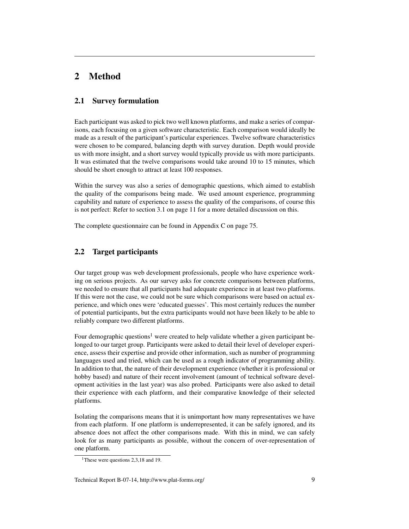# 2 Method

# 2.1 Survey formulation

Each participant was asked to pick two well known platforms, and make a series of comparisons, each focusing on a given software characteristic. Each comparison would ideally be made as a result of the participant's particular experiences. Twelve software characteristics were chosen to be compared, balancing depth with survey duration. Depth would provide us with more insight, and a short survey would typically provide us with more participants. It was estimated that the twelve comparisons would take around 10 to 15 minutes, which should be short enough to attract at least 100 responses.

Within the survey was also a series of demographic questions, which aimed to establish the quality of the comparisons being made. We used amount experience, programming capability and nature of experience to assess the quality of the comparisons, of course this is not perfect: Refer to section 3.1 on page 11 for a more detailed discussion on this.

The complete questionnaire can be found in Appendix C on page 75.

# 2.2 Target participants

Our target group was web development professionals, people who have experience working on serious projects. As our survey asks for concrete comparisons between platforms, we needed to ensure that all participants had adequate experience in at least two platforms. If this were not the case, we could not be sure which comparisons were based on actual experience, and which ones were 'educated guesses'. This most certainly reduces the number of potential participants, but the extra participants would not have been likely to be able to reliably compare two different platforms.

Four demographic questions<sup>1</sup> were created to help validate whether a given participant belonged to our target group. Participants were asked to detail their level of developer experience, assess their expertise and provide other information, such as number of programming languages used and tried, which can be used as a rough indicator of programming ability. In addition to that, the nature of their development experience (whether it is professional or hobby based) and nature of their recent involvement (amount of technical software development activities in the last year) was also probed. Participants were also asked to detail their experience with each platform, and their comparative knowledge of their selected platforms.

Isolating the comparisons means that it is unimportant how many representatives we have from each platform. If one platform is underrepresented, it can be safely ignored, and its absence does not affect the other comparisons made. With this in mind, we can safely look for as many participants as possible, without the concern of over-representation of one platform.

<sup>&</sup>lt;sup>1</sup>These were questions 2,3,18 and 19.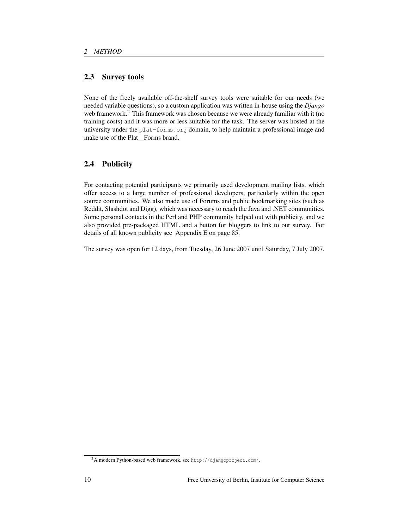# 2.3 Survey tools

None of the freely available off-the-shelf survey tools were suitable for our needs (we needed variable questions), so a custom application was written in-house using the *Django* web framework.<sup>2</sup> This framework was chosen because we were already familiar with it (no training costs) and it was more or less suitable for the task. The server was hosted at the university under the plat-forms.org domain, to help maintain a professional image and make use of the Plat Forms brand.

# 2.4 Publicity

For contacting potential participants we primarily used development mailing lists, which offer access to a large number of professional developers, particularly within the open source communities. We also made use of Forums and public bookmarking sites (such as Reddit, Slashdot and Digg), which was necessary to reach the Java and .NET communities. Some personal contacts in the Perl and PHP community helped out with publicity, and we also provided pre-packaged HTML and a button for bloggers to link to our survey. For details of all known publicity see Appendix E on page 85.

The survey was open for 12 days, from Tuesday, 26 June 2007 until Saturday, 7 July 2007.

<sup>2</sup>A modern Python-based web framework, see http://djangoproject.com/.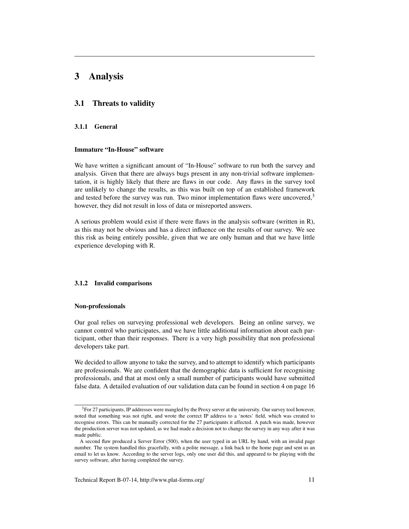# 3 Analysis

#### 3.1 Threats to validity

#### 3.1.1 General

#### Immature "In-House" software

We have written a significant amount of "In-House" software to run both the survey and analysis. Given that there are always bugs present in any non-trivial software implementation, it is highly likely that there are flaws in our code. Any flaws in the survey tool are unlikely to change the results, as this was built on top of an established framework and tested before the survey was run. Two minor implementation flaws were uncovered, $3$ however, they did not result in loss of data or misreported answers.

A serious problem would exist if there were flaws in the analysis software (written in R), as this may not be obvious and has a direct influence on the results of our survey. We see this risk as being entirely possible, given that we are only human and that we have little experience developing with R.

#### 3.1.2 Invalid comparisons

#### Non-professionals

Our goal relies on surveying professional web developers. Being an online survey, we cannot control who participates, and we have little additional information about each participant, other than their responses. There is a very high possibility that non professional developers take part.

We decided to allow anyone to take the survey, and to attempt to identify which participants are professionals. We are confident that the demographic data is sufficient for recognising professionals, and that at most only a small number of participants would have submitted false data. A detailed evaluation of our validation data can be found in section 4 on page 16

<sup>3</sup>For 27 participants, IP addresses were mangled by the Proxy server at the university. Our survey tool however, noted that something was not right, and wrote the correct IP address to a 'notes' field, which was created to recognise errors. This can be manually corrected for the 27 participants it affected. A patch was made, however the production server was not updated, as we had made a decision not to change the survey in any way after it was made public.

A second flaw produced a Server Error (500), when the user typed in an URL by hand, with an invalid page number. The system handled this gracefully, with a polite message, a link back to the home page and sent us an email to let us know. According to the server logs, only one user did this, and appeared to be playing with the survey software, after having completed the survey.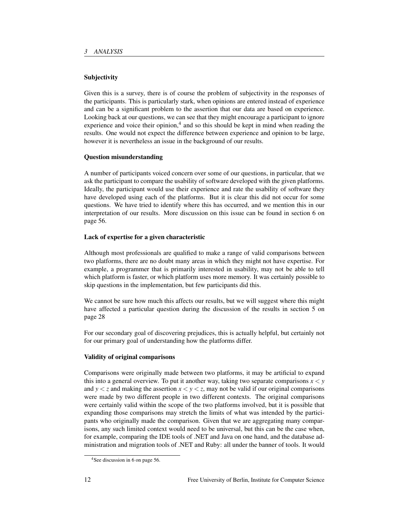### Subjectivity

Given this is a survey, there is of course the problem of subjectivity in the responses of the participants. This is particularly stark, when opinions are entered instead of experience and can be a significant problem to the assertion that our data are based on experience. Looking back at our questions, we can see that they might encourage a participant to ignore experience and voice their opinion,<sup>4</sup> and so this should be kept in mind when reading the results. One would not expect the difference between experience and opinion to be large, however it is nevertheless an issue in the background of our results.

#### Question misunderstanding

A number of participants voiced concern over some of our questions, in particular, that we ask the participant to compare the usability of software developed with the given platforms. Ideally, the participant would use their experience and rate the usability of software they have developed using each of the platforms. But it is clear this did not occur for some questions. We have tried to identify where this has occurred, and we mention this in our interpretation of our results. More discussion on this issue can be found in section 6 on page 56.

### Lack of expertise for a given characteristic

Although most professionals are qualified to make a range of valid comparisons between two platforms, there are no doubt many areas in which they might not have expertise. For example, a programmer that is primarily interested in usability, may not be able to tell which platform is faster, or which platform uses more memory. It was certainly possible to skip questions in the implementation, but few participants did this.

We cannot be sure how much this affects our results, but we will suggest where this might have affected a particular question during the discussion of the results in section 5 on page 28

For our secondary goal of discovering prejudices, this is actually helpful, but certainly not for our primary goal of understanding how the platforms differ.

#### Validity of original comparisons

Comparisons were originally made between two platforms, it may be artificial to expand this into a general overview. To put it another way, taking two separate comparisons  $x < y$ and  $y < z$  and making the assertion  $x < y < z$ , may not be valid if our original comparisons were made by two different people in two different contexts. The original comparisons were certainly valid within the scope of the two platforms involved, but it is possible that expanding those comparisons may stretch the limits of what was intended by the participants who originally made the comparison. Given that we are aggregating many comparisons, any such limited context would need to be universal, but this can be the case when, for example, comparing the IDE tools of .NET and Java on one hand, and the database administration and migration tools of .NET and Ruby: all under the banner of tools. It would

<sup>4</sup>See discussion in 6 on page 56.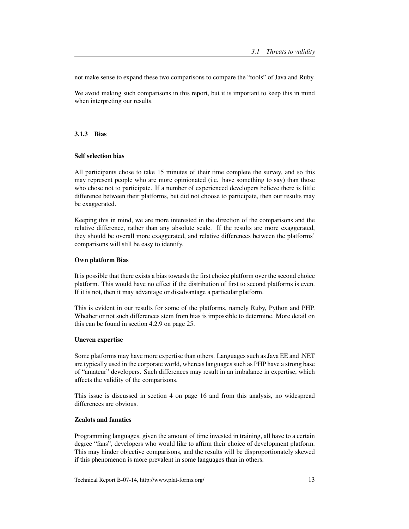not make sense to expand these two comparisons to compare the "tools" of Java and Ruby.

We avoid making such comparisons in this report, but it is important to keep this in mind when interpreting our results.

#### 3.1.3 Bias

#### Self selection bias

All participants chose to take 15 minutes of their time complete the survey, and so this may represent people who are more opinionated (i.e. have something to say) than those who chose not to participate. If a number of experienced developers believe there is little difference between their platforms, but did not choose to participate, then our results may be exaggerated.

Keeping this in mind, we are more interested in the direction of the comparisons and the relative difference, rather than any absolute scale. If the results are more exaggerated, they should be overall more exaggerated, and relative differences between the platforms' comparisons will still be easy to identify.

#### Own platform Bias

It is possible that there exists a bias towards the first choice platform over the second choice platform. This would have no effect if the distribution of first to second platforms is even. If it is not, then it may advantage or disadvantage a particular platform.

This is evident in our results for some of the platforms, namely Ruby, Python and PHP. Whether or not such differences stem from bias is impossible to determine. More detail on this can be found in section 4.2.9 on page 25.

#### Uneven expertise

Some platforms may have more expertise than others. Languages such as Java EE and .NET are typically used in the corporate world, whereas languages such as PHP have a strong base of "amateur" developers. Such differences may result in an imbalance in expertise, which affects the validity of the comparisons.

This issue is discussed in section 4 on page 16 and from this analysis, no widespread differences are obvious.

#### Zealots and fanatics

Programming languages, given the amount of time invested in training, all have to a certain degree "fans", developers who would like to affirm their choice of development platform. This may hinder objective comparisons, and the results will be disproportionately skewed if this phenomenon is more prevalent in some languages than in others.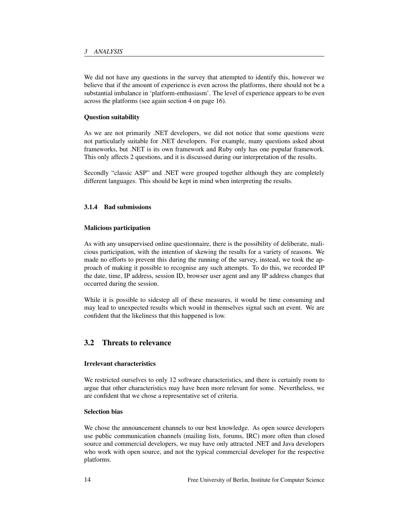We did not have any questions in the survey that attempted to identify this, however we believe that if the amount of experience is even across the platforms, there should not be a substantial imbalance in 'platform-enthusiasm'. The level of experience appears to be even across the platforms (see again section 4 on page 16).

#### Question suitability

As we are not primarily .NET developers, we did not notice that some questions were not particularly suitable for .NET developers. For example, many questions asked about frameworks, but .NET is its own framework and Ruby only has one popular framework. This only affects 2 questions, and it is discussed during our interpretation of the results.

Secondly "classic ASP" and .NET were grouped together although they are completely different languages. This should be kept in mind when interpreting the results.

#### 3.1.4 Bad submissions

#### Malicious participation

As with any unsupervised online questionnaire, there is the possibility of deliberate, malicious participation, with the intention of skewing the results for a variety of reasons. We made no efforts to prevent this during the running of the survey, instead, we took the approach of making it possible to recognise any such attempts. To do this, we recorded IP the date, time, IP address, session ID, browser user agent and any IP address changes that occurred during the session.

While it is possible to sidestep all of these measures, it would be time consuming and may lead to unexpected results which would in themselves signal such an event. We are confident that the likeliness that this happened is low.

# 3.2 Threats to relevance

#### Irrelevant characteristics

We restricted ourselves to only 12 software characteristics, and there is certainly room to argue that other characteristics may have been more relevant for some. Nevertheless, we are confident that we chose a representative set of criteria.

# Selection bias

We chose the announcement channels to our best knowledge. As open source developers use public communication channels (mailing lists, forums, IRC) more often than closed source and commercial developers, we may have only attracted .NET and Java developers who work with open source, and not the typical commercial developer for the respective platforms.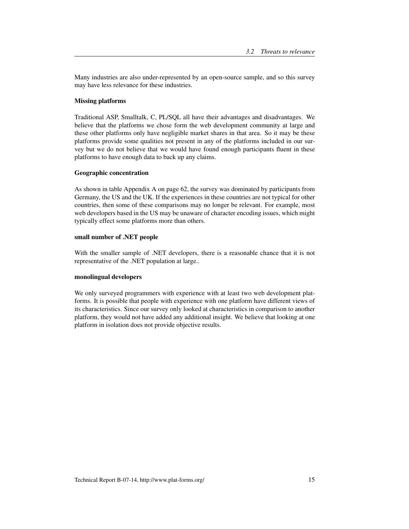Many industries are also under-represented by an open-source sample, and so this survey may have less relevance for these industries.

#### Missing platforms

Traditional ASP, Smalltalk, C, PL/SQL all have their advantages and disadvantages. We believe that the platforms we chose form the web development community at large and these other platforms only have negligible market shares in that area. So it may be these platforms provide some qualities not present in any of the platforms included in our survey but we do not believe that we would have found enough participants fluent in these platforms to have enough data to back up any claims.

#### Geographic concentration

As shown in table Appendix A on page 62, the survey was dominated by participants from Germany, the US and the UK. If the experiences in these countries are not typical for other countries, then some of these comparisons may no longer be relevant. For example, most web developers based in the US may be unaware of character encoding issues, which might typically effect some platforms more than others.

#### small number of .NET people

With the smaller sample of .NET developers, there is a reasonable chance that it is not representative of the .NET population at large..

#### monolingual developers

We only surveyed programmers with experience with at least two web development platforms. It is possible that people with experience with one platform have different views of its characteristics. Since our survey only looked at characteristics in comparison to another platform, they would not have added any additional insight. We believe that looking at one platform in isolation does not provide objective results.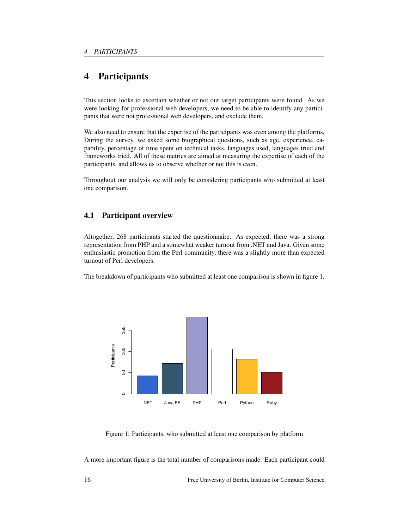# 4 Participants

This section looks to ascertain whether or not our target participants were found. As we were looking for professional web developers, we need to be able to identify any participants that were not professional web developers, and exclude them.

We also need to ensure that the expertise of the participants was even among the platforms, During the survey, we asked some biographical questions, such as age, experience, capability, percentage of time spent on technical tasks, languages used, languages tried and frameworks tried. All of these metrics are aimed at measuring the expertise of each of the participants, and allows us to observe whether or not this is even.

Throughout our analysis we will only be considering participants who submitted at least one comparison.

# 4.1 Participant overview

Altogether, 268 participants started the questionnaire. As expected, there was a strong representation from PHP and a somewhat weaker turnout from .NET and Java. Given some enthusiastic promotion from the Perl community, there was a slightly more than expected turnout of Perl developers.

The breakdown of participants who submitted at least one comparison is shown in figure 1.



Figure 1: Participants, who submitted at least one comparison by platform

A more important figure is the total number of comparisons made. Each participant could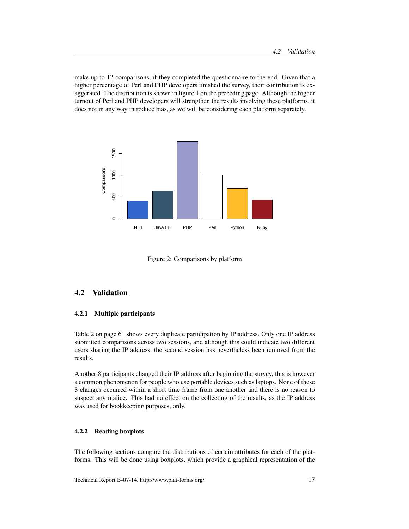make up to 12 comparisons, if they completed the questionnaire to the end. Given that a higher percentage of Perl and PHP developers finished the survey, their contribution is exaggerated. The distribution is shown in figure 1 on the preceding page. Although the higher turnout of Perl and PHP developers will strengthen the results involving these platforms, it does not in any way introduce bias, as we will be considering each platform separately.



Figure 2: Comparisons by platform

# 4.2 Validation

#### 4.2.1 Multiple participants

Table 2 on page 61 shows every duplicate participation by IP address. Only one IP address submitted comparisons across two sessions, and although this could indicate two different users sharing the IP address, the second session has nevertheless been removed from the results.

Another 8 participants changed their IP address after beginning the survey, this is however a common phenomenon for people who use portable devices such as laptops. None of these 8 changes occurred within a short time frame from one another and there is no reason to suspect any malice. This had no effect on the collecting of the results, as the IP address was used for bookkeeping purposes, only.

#### 4.2.2 Reading boxplots

The following sections compare the distributions of certain attributes for each of the platforms. This will be done using boxplots, which provide a graphical representation of the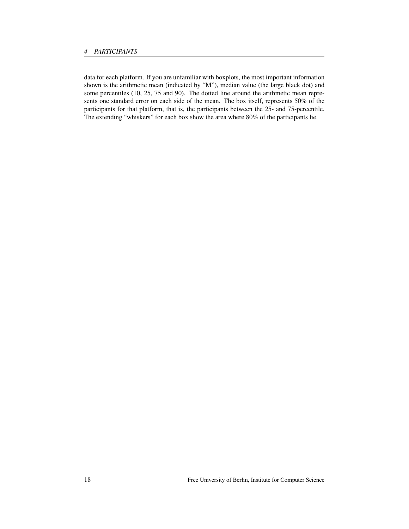data for each platform. If you are unfamiliar with boxplots, the most important information shown is the arithmetic mean (indicated by "M"), median value (the large black dot) and some percentiles (10, 25, 75 and 90). The dotted line around the arithmetic mean represents one standard error on each side of the mean. The box itself, represents 50% of the participants for that platform, that is, the participants between the 25- and 75-percentile. The extending "whiskers" for each box show the area where 80% of the participants lie.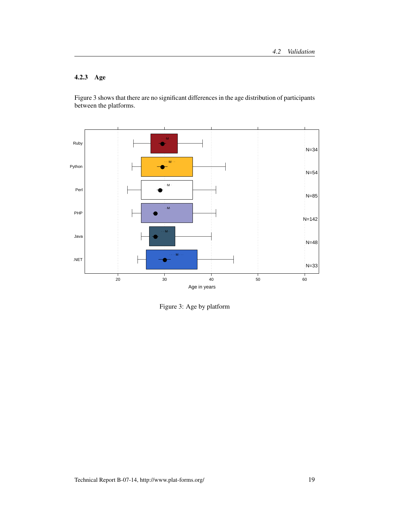# 4.2.3 Age

Figure 3 shows that there are no significant differences in the age distribution of participants between the platforms.



Figure 3: Age by platform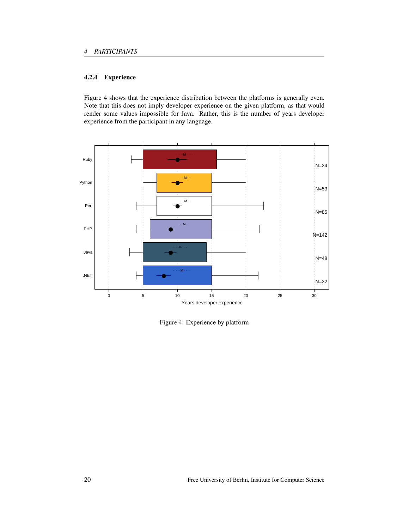# 4.2.4 Experience

Figure 4 shows that the experience distribution between the platforms is generally even. Note that this does not imply developer experience on the given platform, as that would render some values impossible for Java. Rather, this is the number of years developer experience from the participant in any language.



Figure 4: Experience by platform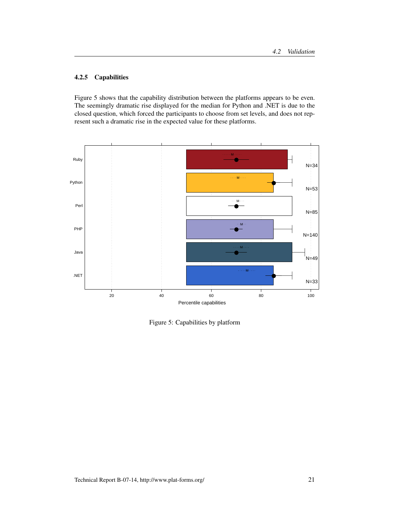# 4.2.5 Capabilities

Figure 5 shows that the capability distribution between the platforms appears to be even. The seemingly dramatic rise displayed for the median for Python and .NET is due to the closed question, which forced the participants to choose from set levels, and does not represent such a dramatic rise in the expected value for these platforms.



Figure 5: Capabilities by platform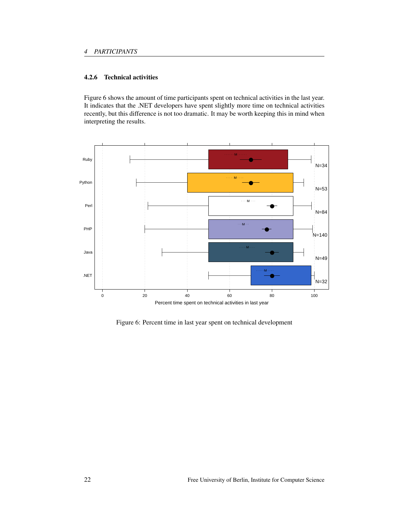# 4.2.6 Technical activities

Figure 6 shows the amount of time participants spent on technical activities in the last year. It indicates that the .NET developers have spent slightly more time on technical activities recently, but this difference is not too dramatic. It may be worth keeping this in mind when interpreting the results.



Figure 6: Percent time in last year spent on technical development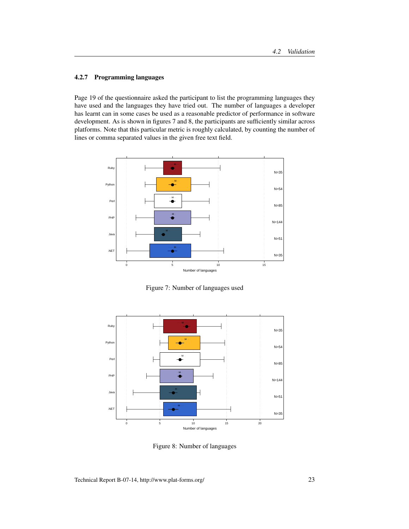## 4.2.7 Programming languages

Page 19 of the questionnaire asked the participant to list the programming languages they have used and the languages they have tried out. The number of languages a developer has learnt can in some cases be used as a reasonable predictor of performance in software development. As is shown in figures 7 and 8, the participants are sufficiently similar across platforms. Note that this particular metric is roughly calculated, by counting the number of lines or comma separated values in the given free text field.



Figure 7: Number of languages used



Figure 8: Number of languages

Technical Report B-07-14, http://www.plat-forms.org/ 23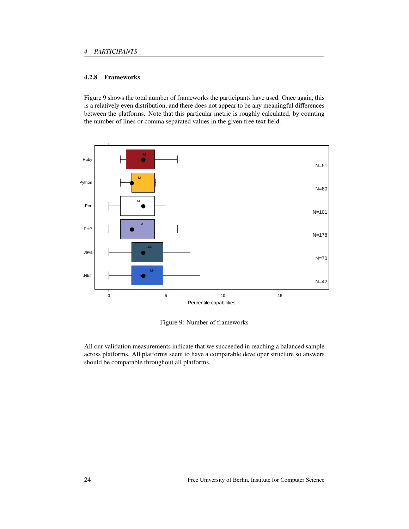# 4.2.8 Frameworks

Figure 9 shows the total number of frameworks the participants have used. Once again, this is a relatively even distribution, and there does not appear to be any meaningful differences between the platforms. Note that this particular metric is roughly calculated, by counting the number of lines or comma separated values in the given free text field.



Figure 9: Number of frameworks

All our validation measurements indicate that we succeeded in reaching a balanced sample across platforms. All platforms seem to have a comparable developer structure so answers should be comparable throughout all platforms.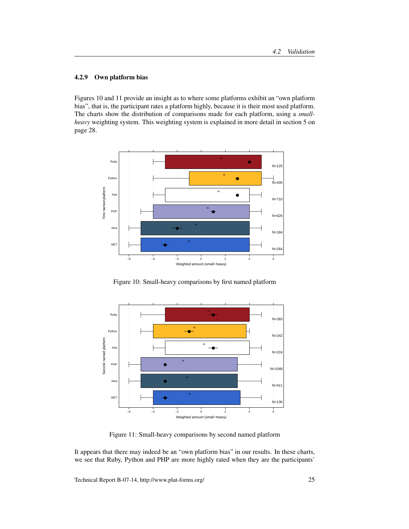## 4.2.9 Own platform bias

Figures 10 and 11 provide an insight as to where some platforms exhibit an "own platform bias", that is, the participant rates a platform highly, because it is their most used platform. The charts show the distribution of comparisons made for each platform, using a *smallheavy* weighting system. This weighting system is explained in more detail in section 5 on page 28.



Figure 10: Small-heavy comparisons by first named platform



Figure 11: Small-heavy comparisons by second named platform

It appears that there may indeed be an "own platform bias" in our results. In these charts, we see that Ruby, Python and PHP are more highly rated when they are the participants'

Technical Report B-07-14, http://www.plat-forms.org/ 25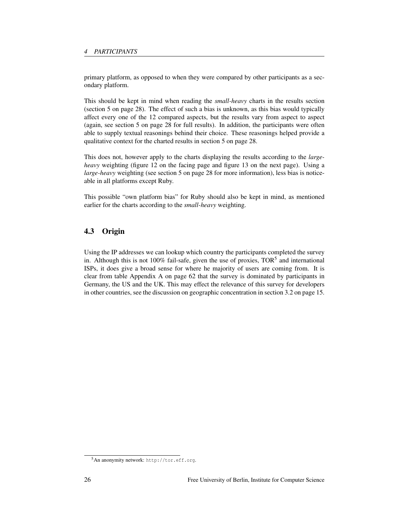primary platform, as opposed to when they were compared by other participants as a secondary platform.

This should be kept in mind when reading the *small-heavy* charts in the results section (section 5 on page 28). The effect of such a bias is unknown, as this bias would typically affect every one of the 12 compared aspects, but the results vary from aspect to aspect (again, see section 5 on page 28 for full results). In addition, the participants were often able to supply textual reasonings behind their choice. These reasonings helped provide a qualitative context for the charted results in section 5 on page 28.

This does not, however apply to the charts displaying the results according to the *largeheavy* weighting (figure 12 on the facing page and figure 13 on the next page). Using a *large-heavy* weighting (see section 5 on page 28 for more information), less bias is noticeable in all platforms except Ruby.

This possible "own platform bias" for Ruby should also be kept in mind, as mentioned earlier for the charts according to the *small-heavy* weighting.

# 4.3 Origin

Using the IP addresses we can lookup which country the participants completed the survey in. Although this is not 100% fail-safe, given the use of proxies,  $TOR<sup>5</sup>$  and international ISPs, it does give a broad sense for where he majority of users are coming from. It is clear from table Appendix A on page 62 that the survey is dominated by participants in Germany, the US and the UK. This may effect the relevance of this survey for developers in other countries, see the discussion on geographic concentration in section 3.2 on page 15.

<sup>5</sup>An anonymity network: http://tor.eff.org.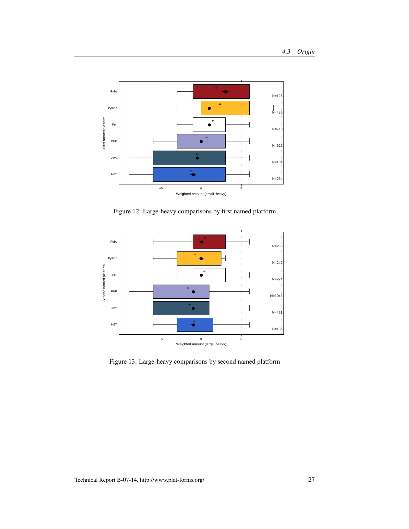

Figure 12: Large-heavy comparisons by first named platform



Figure 13: Large-heavy comparisons by second named platform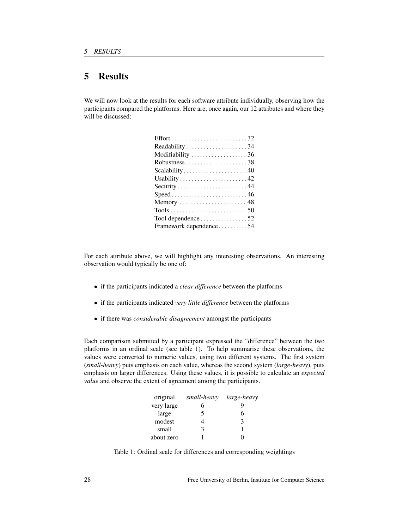# 5 Results

We will now look at the results for each software attribute individually, observing how the participants compared the platforms. Here are, once again, our 12 attributes and where they will be discussed:

For each attribute above, we will highlight any interesting observations. An interesting observation would typically be one of:

- if the participants indicated a *clear difference* between the platforms
- if the participants indicated *very little difference* between the platforms
- if there was *considerable disagreement* amongst the participants

Each comparison submitted by a participant expressed the "difference" between the two platforms in an ordinal scale (see table 1). To help summarise these observations, the values were converted to numeric values, using two different systems. The first system (*small-heavy*) puts emphasis on each value, whereas the second system (*large-heavy*), puts emphasis on larger differences. Using these values, it is possible to calculate an *expected value* and observe the extent of agreement among the participants.

| original   | small-heavy | <i>large-heavy</i> |
|------------|-------------|--------------------|
| very large |             |                    |
| large      |             |                    |
| modest     |             |                    |
| small      | ว           |                    |
| about zero |             |                    |

Table 1: Ordinal scale for differences and corresponding weightings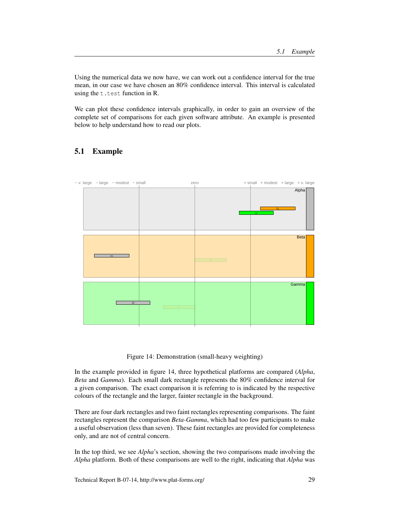Using the numerical data we now have, we can work out a confidence interval for the true mean, in our case we have chosen an 80% confidence interval. This interval is calculated using the t.test function in R.

We can plot these confidence intervals graphically, in order to gain an overview of the complete set of comparisons for each given software attribute. An example is presented below to help understand how to read our plots.

# 5.1 Example



Figure 14: Demonstration (small-heavy weighting)

In the example provided in figure 14, three hypothetical platforms are compared (*Alpha*, *Beta* and *Gamma*). Each small dark rectangle represents the 80% confidence interval for a given comparison. The exact comparison it is referring to is indicated by the respective colours of the rectangle and the larger, fainter rectangle in the background.

There are four dark rectangles and two faint rectangles representing comparisons. The faint rectangles represent the comparison *Beta-Gamma*, which had too few participants to make a useful observation (less than seven). These faint rectangles are provided for completeness only, and are not of central concern.

In the top third, we see *Alpha*'s section, showing the two comparisons made involving the *Alpha* platform. Both of these comparisons are well to the right, indicating that *Alpha* was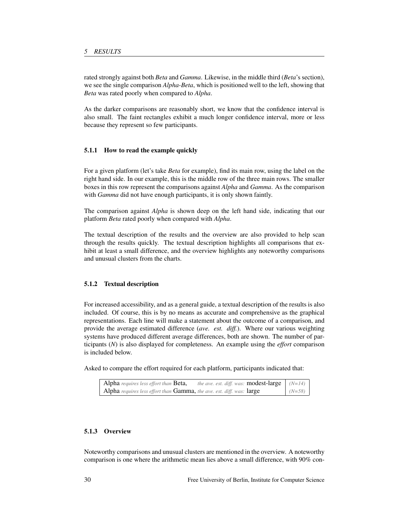rated strongly against both *Beta* and *Gamma*. Likewise, in the middle third (*Beta*'s section), we see the single comparison *Alpha-Beta*, which is positioned well to the left, showing that *Beta* was rated poorly when compared to *Alpha*.

As the darker comparisons are reasonably short, we know that the confidence interval is also small. The faint rectangles exhibit a much longer confidence interval, more or less because they represent so few participants.

#### 5.1.1 How to read the example quickly

For a given platform (let's take *Beta* for example), find its main row, using the label on the right hand side. In our example, this is the middle row of the three main rows. The smaller boxes in this row represent the comparisons against *Alpha* and *Gamma*. As the comparison with *Gamma* did not have enough participants, it is only shown faintly.

The comparison against *Alpha* is shown deep on the left hand side, indicating that our platform *Beta* rated poorly when compared with *Alpha*.

The textual description of the results and the overview are also provided to help scan through the results quickly. The textual description highlights all comparisons that exhibit at least a small difference, and the overview highlights any noteworthy comparisons and unusual clusters from the charts.

#### 5.1.2 Textual description

For increased accessibility, and as a general guide, a textual description of the results is also included. Of course, this is by no means as accurate and comprehensive as the graphical representations. Each line will make a statement about the outcome of a comparison, and provide the average estimated difference (*ave. est. diff.*). Where our various weighting systems have produced different average differences, both are shown. The number of participants (*N*) is also displayed for completeness. An example using the *effort* comparison is included below.

Asked to compare the effort required for each platform, participants indicated that:

| Alpha requires less effort than Beta,                                 | <i>the ave. est. diff. was:</i> <b>modest-large</b> $ $ ( <i>N=14</i> ) |          |
|-----------------------------------------------------------------------|-------------------------------------------------------------------------|----------|
| Alpha requires less effort than Gamma, the ave. est. diff. was: large |                                                                         | $(N=58)$ |

#### 5.1.3 Overview

Noteworthy comparisons and unusual clusters are mentioned in the overview. A noteworthy comparison is one where the arithmetic mean lies above a small difference, with 90% con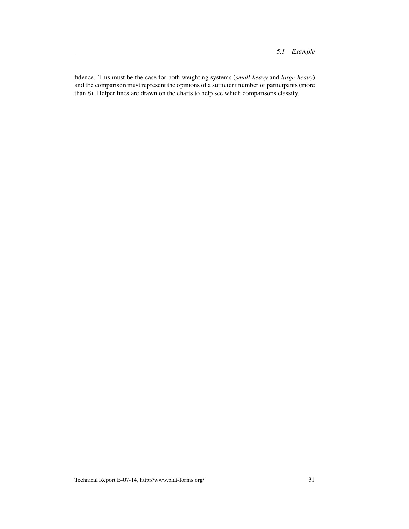fidence. This must be the case for both weighting systems (*small-heavy* and *large-heavy*) and the comparison must represent the opinions of a sufficient number of participants (more than 8). Helper lines are drawn on the charts to help see which comparisons classify.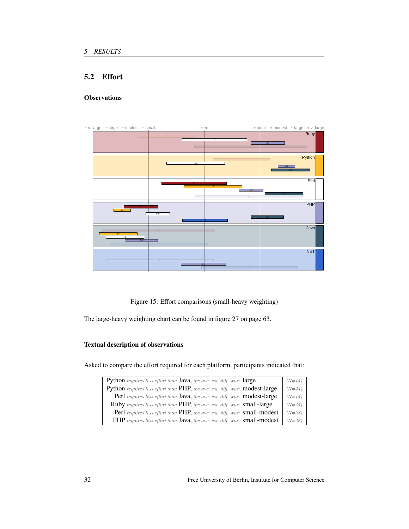# 5.2 Effort

# **Observations**



Figure 15: Effort comparisons (small-heavy weighting)

The large-heavy weighting chart can be found in figure 27 on page 63.

## Textual description of observations

Asked to compare the effort required for each platform, participants indicated that:

| Python requires less effort than Java, the ave. est. diff. was: large           | $(N=14)$ |
|---------------------------------------------------------------------------------|----------|
| Python requires less effort than PHP, the ave. est. diff. was: modest-large     | $(N=44)$ |
| Perl requires less effort than Java, the ave. est. diff. was: modest-large      | $(N=14)$ |
| <b>Ruby</b> requires less effort than PHP, the ave. est. diff. was: small-large | $(N=24)$ |
| Perl requires less effort than PHP, the ave. est. diff. was: small-modest       | $(N=58)$ |
| PHP requires less effort than Java, the ave. est. diff. was: small-modest       | $(N=28)$ |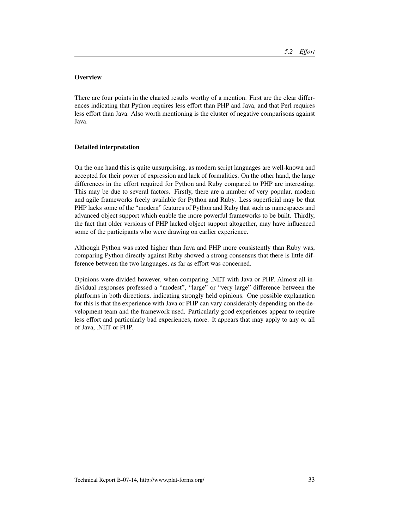# **Overview**

There are four points in the charted results worthy of a mention. First are the clear differences indicating that Python requires less effort than PHP and Java, and that Perl requires less effort than Java. Also worth mentioning is the cluster of negative comparisons against Java.

#### Detailed interpretation

On the one hand this is quite unsurprising, as modern script languages are well-known and accepted for their power of expression and lack of formalities. On the other hand, the large differences in the effort required for Python and Ruby compared to PHP are interesting. This may be due to several factors. Firstly, there are a number of very popular, modern and agile frameworks freely available for Python and Ruby. Less superficial may be that PHP lacks some of the "modern" features of Python and Ruby that such as namespaces and advanced object support which enable the more powerful frameworks to be built. Thirdly, the fact that older versions of PHP lacked object support altogether, may have influenced some of the participants who were drawing on earlier experience.

Although Python was rated higher than Java and PHP more consistently than Ruby was, comparing Python directly against Ruby showed a strong consensus that there is little difference between the two languages, as far as effort was concerned.

Opinions were divided however, when comparing .NET with Java or PHP. Almost all individual responses professed a "modest", "large" or "very large" difference between the platforms in both directions, indicating strongly held opinions. One possible explanation for this is that the experience with Java or PHP can vary considerably depending on the development team and the framework used. Particularly good experiences appear to require less effort and particularly bad experiences, more. It appears that may apply to any or all of Java, .NET or PHP.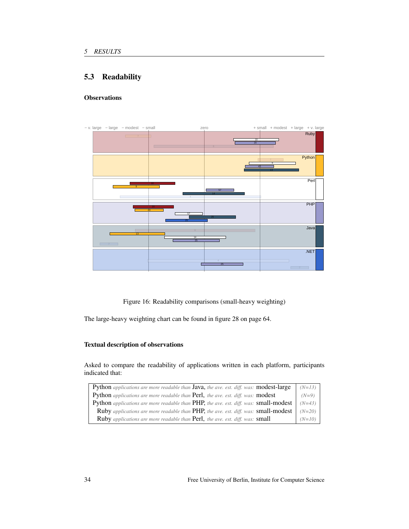# 5.3 Readability

# **Observations**



Figure 16: Readability comparisons (small-heavy weighting)

The large-heavy weighting chart can be found in figure 28 on page 64.

## Textual description of observations

Asked to compare the readability of applications written in each platform, participants indicated that:

| Python applications are more readable than Java, the ave. est. diff. was: modest-large | $(N=13)$ |
|----------------------------------------------------------------------------------------|----------|
| Python applications are more readable than Perl, the ave. est. diff. was: modest       | $(N=9)$  |
| Python applications are more readable than PHP, the ave. est. diff. was: small-modest  | $(N=43)$ |
| Ruby applications are more readable than PHP, the ave. est. diff. was: small-modest    | $(N=20)$ |
| Ruby applications are more readable than Perl, the ave. est. diff. was: small          | $(N=10)$ |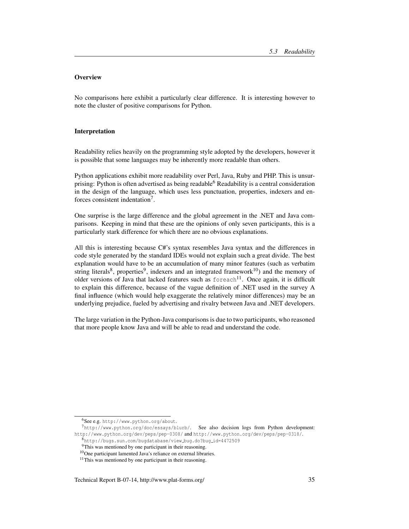## **Overview**

No comparisons here exhibit a particularly clear difference. It is interesting however to note the cluster of positive comparisons for Python.

#### Interpretation

Readability relies heavily on the programming style adopted by the developers, however it is possible that some languages may be inherently more readable than others.

Python applications exhibit more readability over Perl, Java, Ruby and PHP. This is unsurprising: Python is often advertised as being readable<sup>6</sup> Readability is a central consideration in the design of the language, which uses less punctuation, properties, indexers and enforces consistent indentation<sup>7</sup>.

One surprise is the large difference and the global agreement in the .NET and Java comparisons. Keeping in mind that these are the opinions of only seven participants, this is a particularly stark difference for which there are no obvious explanations.

All this is interesting because C#'s syntax resembles Java syntax and the differences in code style generated by the standard IDEs would not explain such a great divide. The best explanation would have to be an accumulation of many minor features (such as verbatim string literals<sup>8</sup>, properties<sup>9</sup>, indexers and an integrated framework<sup>10</sup>) and the memory of older versions of Java that lacked features such as  $f$ oreach<sup>11</sup>. Once again, it is difficult to explain this difference, because of the vague definition of .NET used in the survey A final influence (which would help exaggerate the relatively minor differences) may be an underlying prejudice, fueled by advertising and rivalry between Java and .NET developers.

The large variation in the Python-Java comparisons is due to two participants, who reasoned that more people know Java and will be able to read and understand the code.

<sup>6</sup>See e.g. http://www.python.org/about.

<sup>7</sup>http://www.python.org/doc/essays/blurb/. See also decision logs from Python development: http://www.python.org/dev/peps/pep-0308/ and http://www.python.org/dev/peps/pep-0318/.

<sup>8</sup>http://bugs.sun.com/bugdatabase/view bug.do?bug id=4472509

<sup>&</sup>lt;sup>9</sup>This was mentioned by one participant in their reasoning.

<sup>10</sup>One participant lamented Java's reliance on external libraries.

<sup>&</sup>lt;sup>11</sup>This was mentioned by one participant in their reasoning.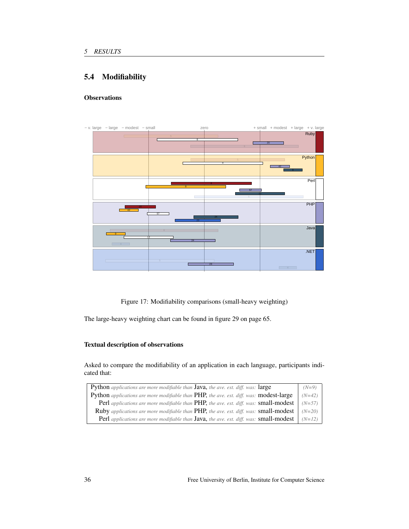# 5.4 Modifiability

# **Observations**



Figure 17: Modifiability comparisons (small-heavy weighting)

The large-heavy weighting chart can be found in figure 29 on page 65.

## Textual description of observations

Asked to compare the modifiability of an application in each language, participants indicated that:

| <b>Python</b> applications are more modifiable than <b>Java</b> , the ave. est. diff. was: <b>large</b> | $(N=9)$  |
|---------------------------------------------------------------------------------------------------------|----------|
| Python applications are more modifiable than PHP, the ave. est. diff. was: modest-large                 | $(N=42)$ |
| Perl applications are more modifiable than PHP, the ave. est. diff. was: small-modest                   | $(N=57)$ |
| Ruby applications are more modifiable than PHP, the ave. est. diff. was: small-modest                   | $(N=20)$ |
| Perl applications are more modifiable than Java, the ave. est. diff. was: small-modest                  | $(N=12)$ |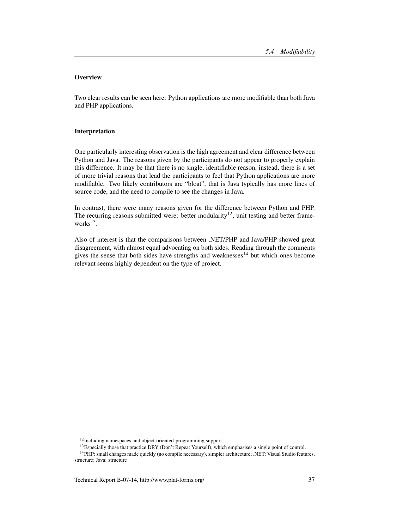Two clear results can be seen here: Python applications are more modifiable than both Java and PHP applications.

#### Interpretation

One particularly interesting observation is the high agreement and clear difference between Python and Java. The reasons given by the participants do not appear to properly explain this difference. It may be that there is no single, identifiable reason, instead, there is a set of more trivial reasons that lead the participants to feel that Python applications are more modifiable. Two likely contributors are "bloat", that is Java typically has more lines of source code, and the need to compile to see the changes in Java.

In contrast, there were many reasons given for the difference between Python and PHP. The recurring reasons submitted were: better modularity<sup>12</sup>, unit testing and better frameworks<sup>13</sup>.

Also of interest is that the comparisons between .NET/PHP and Java/PHP showed great disagreement, with almost equal advocating on both sides. Reading through the comments gives the sense that both sides have strengths and weaknesses $14$  but which ones become relevant seems highly dependent on the type of project.

<sup>&</sup>lt;sup>12</sup>Including namespaces and object-oriented-programming support

<sup>&</sup>lt;sup>13</sup>Especially those that practice DRY (Don't Repeat Yourself), which emphasises a single point of control.

<sup>14</sup>PHP: small changes made quickly (no compile necessary), simpler architecture; .NET: Visual Studio features, structure; Java: structure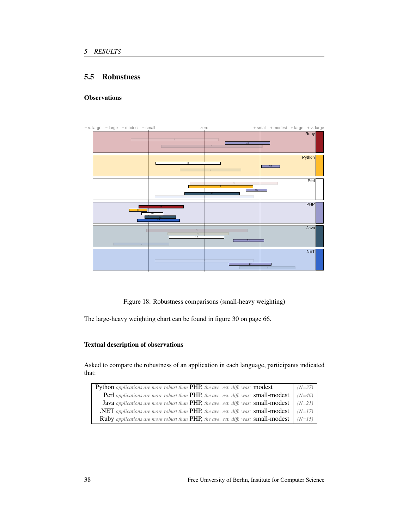# 5.5 Robustness

# **Observations**



Figure 18: Robustness comparisons (small-heavy weighting)

The large-heavy weighting chart can be found in figure 30 on page 66.

#### Textual description of observations

Asked to compare the robustness of an application in each language, participants indicated that:

| Python applications are more robust than PHP, the ave. est. diff. was: modest                            | $(N=37)$ |
|----------------------------------------------------------------------------------------------------------|----------|
| Perl applications are more robust than PHP, the ave. est. diff. was: small-modest                        | $(N=46)$ |
| <b>Java</b> applications are more robust than PHP, the ave. est. diff. was: <b>small-modest</b> $(N=21)$ |          |
| .NET applications are more robust than PHP, the ave. est. diff. was: small-modest $ $ (N=17) $ $         |          |
| Ruby applications are more robust than PHP, the ave. est. diff. was: small-modest                        | $(N=15)$ |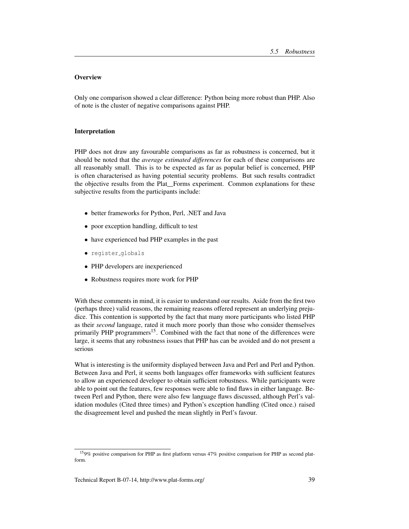Only one comparison showed a clear difference: Python being more robust than PHP. Also of note is the cluster of negative comparisons against PHP.

#### Interpretation

PHP does not draw any favourable comparisons as far as robustness is concerned, but it should be noted that the *average estimated differences* for each of these comparisons are all reasonably small. This is to be expected as far as popular belief is concerned, PHP is often characterised as having potential security problems. But such results contradict the objective results from the Plat\_Forms experiment. Common explanations for these subjective results from the participants include:

- better frameworks for Python, Perl, .NET and Java
- poor exception handling, difficult to test
- have experienced bad PHP examples in the past
- register globals
- PHP developers are inexperienced
- Robustness requires more work for PHP

With these comments in mind, it is easier to understand our results. Aside from the first two (perhaps three) valid reasons, the remaining reasons offered represent an underlying prejudice. This contention is supported by the fact that many more participants who listed PHP as their *second* language, rated it much more poorly than those who consider themselves primarily PHP programmers<sup>15</sup>. Combined with the fact that none of the differences were large, it seems that any robustness issues that PHP has can be avoided and do not present a serious

What is interesting is the uniformity displayed between Java and Perl and Perl and Python. Between Java and Perl, it seems both languages offer frameworks with sufficient features to allow an experienced developer to obtain sufficient robustness. While participants were able to point out the features, few responses were able to find flaws in either language. Between Perl and Python, there were also few language flaws discussed, although Perl's validation modules (Cited three times) and Python's exception handling (Cited once.) raised the disagreement level and pushed the mean slightly in Perl's favour.

<sup>15</sup>9% positive comparison for PHP as first platform versus 47% positive comparison for PHP as second platform.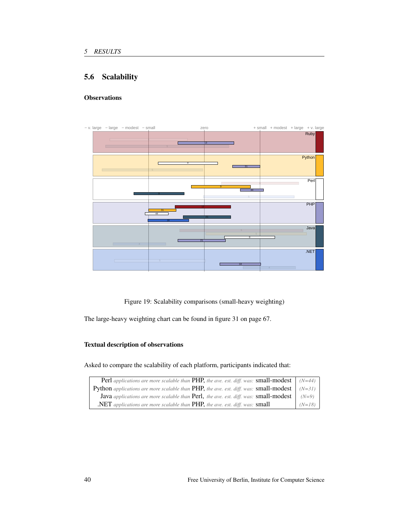# 5.6 Scalability

# **Observations**



Figure 19: Scalability comparisons (small-heavy weighting)

The large-heavy weighting chart can be found in figure 31 on page 67.

#### Textual description of observations

Asked to compare the scalability of each platform, participants indicated that:

| <b>Perl</b> applications are more scalable than <b>PHP</b> , the ave. est. diff. was: <b>small-modest</b> $ $ (N=44) $ $ |          |
|--------------------------------------------------------------------------------------------------------------------------|----------|
| <b>Python</b> applications are more scalable than PHP, the ave. est. diff. was: small-modest $(N=31)$                    |          |
| <b>Java</b> applications are more scalable than Perl, the ave. est. diff. was: small-modest $\vert$ (N=9) $\vert$        |          |
| .NET applications are more scalable than PHP, the ave. est. diff. was: small                                             | $(N=18)$ |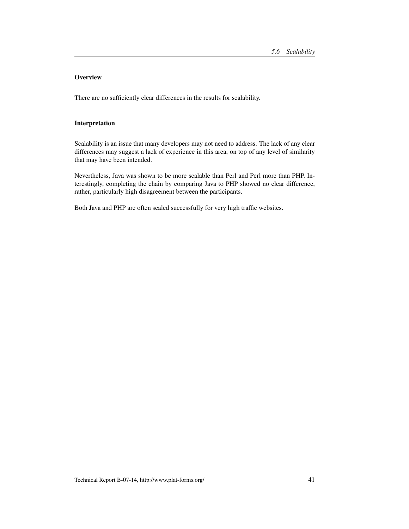There are no sufficiently clear differences in the results for scalability.

#### Interpretation

Scalability is an issue that many developers may not need to address. The lack of any clear differences may suggest a lack of experience in this area, on top of any level of similarity that may have been intended.

Nevertheless, Java was shown to be more scalable than Perl and Perl more than PHP. Interestingly, completing the chain by comparing Java to PHP showed no clear difference, rather, particularly high disagreement between the participants.

Both Java and PHP are often scaled successfully for very high traffic websites.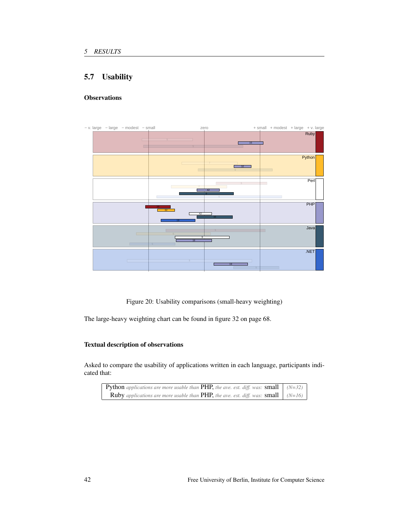# 5.7 Usability

# **Observations**



Figure 20: Usability comparisons (small-heavy weighting)

The large-heavy weighting chart can be found in figure 32 on page 68.

#### Textual description of observations

Asked to compare the usability of applications written in each language, participants indicated that:

| <b>Python</b> applications are more usable than <b>PHP</b> , the ave. est. diff. was: <b>small</b> $(N=32)$ |  |
|-------------------------------------------------------------------------------------------------------------|--|
| <b>Ruby</b> applications are more usable than <b>PHP</b> , the ave. est. diff. was: <b>small</b> $(N=16)$   |  |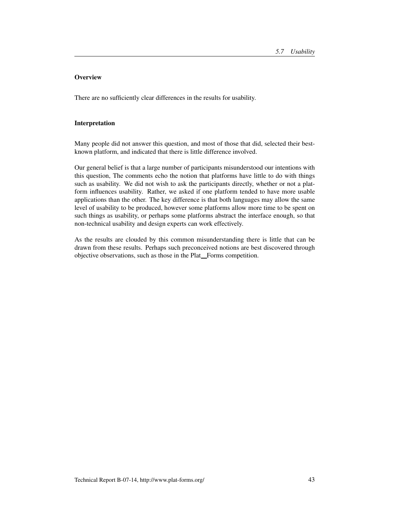There are no sufficiently clear differences in the results for usability.

#### Interpretation

Many people did not answer this question, and most of those that did, selected their bestknown platform, and indicated that there is little difference involved.

Our general belief is that a large number of participants misunderstood our intentions with this question, The comments echo the notion that platforms have little to do with things such as usability. We did not wish to ask the participants directly, whether or not a platform influences usability. Rather, we asked if one platform tended to have more usable applications than the other. The key difference is that both languages may allow the same level of usability to be produced, however some platforms allow more time to be spent on such things as usability, or perhaps some platforms abstract the interface enough, so that non-technical usability and design experts can work effectively.

As the results are clouded by this common misunderstanding there is little that can be drawn from these results. Perhaps such preconceived notions are best discovered through objective observations, such as those in the Plat\_Forms competition.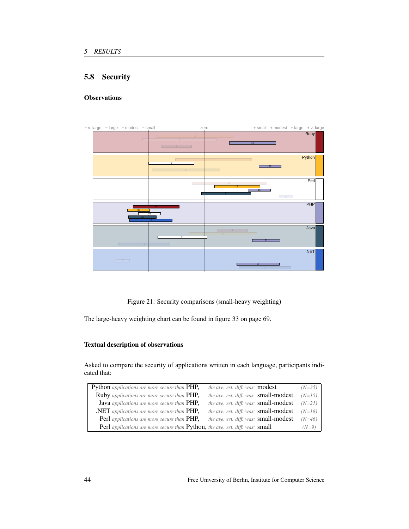# 5.8 Security

# **Observations**



Figure 21: Security comparisons (small-heavy weighting)

The large-heavy weighting chart can be found in figure 33 on page 69.

#### Textual description of observations

Asked to compare the security of applications written in each language, participants indicated that:

| Python applications are more secure than PHP,<br><i>the ave. est. diff. was:</i> <b>modest</b> |                                       | $(N=35)$ |
|------------------------------------------------------------------------------------------------|---------------------------------------|----------|
| Ruby applications are more secure than PHP,                                                    | the ave. est. diff. was: small-modest | $(N=15)$ |
| <b>Java</b> applications are more secure than PHP,                                             | the ave. est. diff. was: small-modest | $(N=21)$ |
| $\Delta$ <b>NET</b> applications are more secure than $\text{PHP}$ .                           | the ave. est. diff. was: small-modest | $(N=18)$ |
| <b>Perl</b> applications are more secure than <b>PHP</b> ,                                     | the ave. est. diff. was: small-modest | $(N=46)$ |
| Perl applications are more secure than Python, the ave. est. diff. was: small                  |                                       | $(N=9)$  |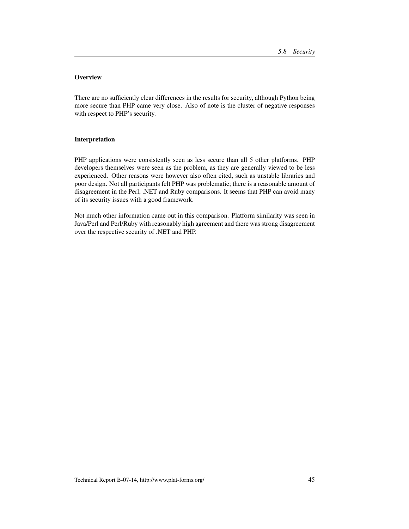There are no sufficiently clear differences in the results for security, although Python being more secure than PHP came very close. Also of note is the cluster of negative responses with respect to PHP's security.

#### Interpretation

PHP applications were consistently seen as less secure than all 5 other platforms. PHP developers themselves were seen as the problem, as they are generally viewed to be less experienced. Other reasons were however also often cited, such as unstable libraries and poor design. Not all participants felt PHP was problematic; there is a reasonable amount of disagreement in the Perl, .NET and Ruby comparisons. It seems that PHP can avoid many of its security issues with a good framework.

Not much other information came out in this comparison. Platform similarity was seen in Java/Perl and Perl/Ruby with reasonably high agreement and there was strong disagreement over the respective security of .NET and PHP.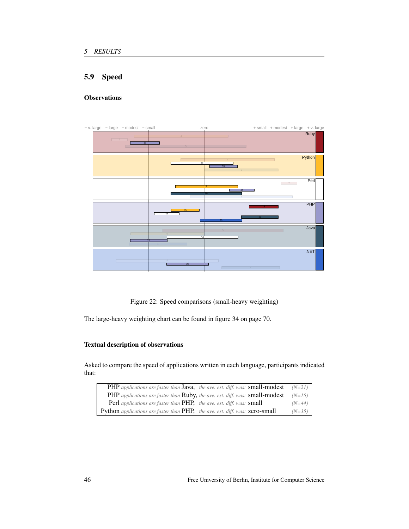# 5.9 Speed

# **Observations**



Figure 22: Speed comparisons (small-heavy weighting)

The large-heavy weighting chart can be found in figure 34 on page 70.

#### Textual description of observations

Asked to compare the speed of applications written in each language, participants indicated that:

| <b>PHP</b> applications are faster than <b>Java</b> , the ave. est. diff. was: <b>small-modest</b> $(N=21)$ |          |
|-------------------------------------------------------------------------------------------------------------|----------|
| <b>PHP</b> applications are faster than <b>Ruby</b> , the ave. est. diff. was: <b>small-modest</b> $(N=15)$ |          |
| <b>Perl</b> applications are faster than <b>PHP</b> , the ave. est. diff. was: <b>small</b>                 | $(N=44)$ |
| <b>Python</b> applications are faster than <b>PHP</b> , the ave. est. diff. was: <b>zero-small</b>          | $(N=35)$ |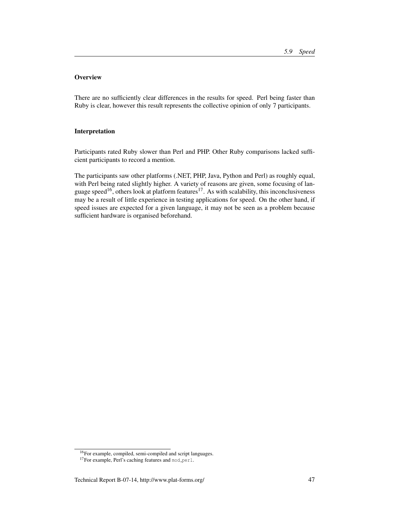There are no sufficiently clear differences in the results for speed. Perl being faster than Ruby is clear, however this result represents the collective opinion of only 7 participants.

#### Interpretation

Participants rated Ruby slower than Perl and PHP. Other Ruby comparisons lacked sufficient participants to record a mention.

The participants saw other platforms (.NET, PHP, Java, Python and Perl) as roughly equal, with Perl being rated slightly higher. A variety of reasons are given, some focusing of language speed<sup>16</sup>, others look at platform features<sup>17</sup>. As with scalability, this inconclusiveness may be a result of little experience in testing applications for speed. On the other hand, if speed issues are expected for a given language, it may not be seen as a problem because sufficient hardware is organised beforehand.

<sup>16</sup>For example, compiled, semi-compiled and script languages.

<sup>&</sup>lt;sup>17</sup>For example, Perl's caching features and mod\_perl.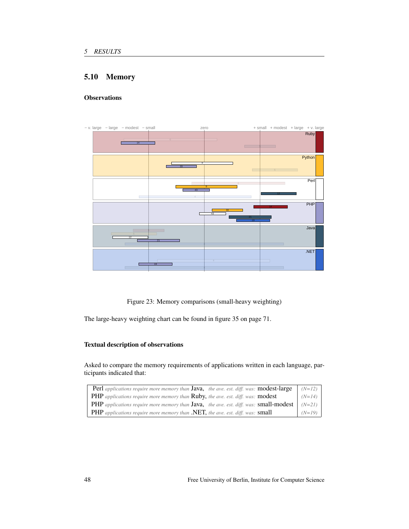# 5.10 Memory

# **Observations**



Figure 23: Memory comparisons (small-heavy weighting)

The large-heavy weighting chart can be found in figure 35 on page 71.

#### Textual description of observations

Asked to compare the memory requirements of applications written in each language, participants indicated that:

| <b>Perl</b> applications require more memory than <b>Java</b> , the ave. est. diff. was: <b>modest-large</b> | $(N=12)$ |
|--------------------------------------------------------------------------------------------------------------|----------|
| <b>PHP</b> applications require more memory than <b>Ruby</b> , the ave. est. diff. was: <b>modest</b>        | $(N=14)$ |
| <b>PHP</b> applications require more memory than <b>Java</b> , the ave. est. diff. was: <b>small-modest</b>  | $(N=21)$ |
| <b>PHP</b> applications require more memory than <b>.NET</b> , the ave. est. diff. was: <b>small</b>         | $(N=19)$ |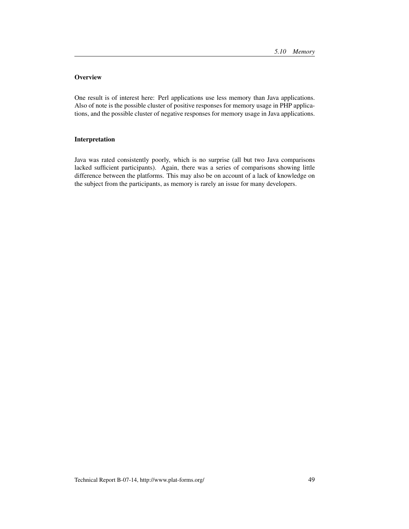One result is of interest here: Perl applications use less memory than Java applications. Also of note is the possible cluster of positive responses for memory usage in PHP applications, and the possible cluster of negative responses for memory usage in Java applications.

#### Interpretation

Java was rated consistently poorly, which is no surprise (all but two Java comparisons lacked sufficient participants). Again, there was a series of comparisons showing little difference between the platforms. This may also be on account of a lack of knowledge on the subject from the participants, as memory is rarely an issue for many developers.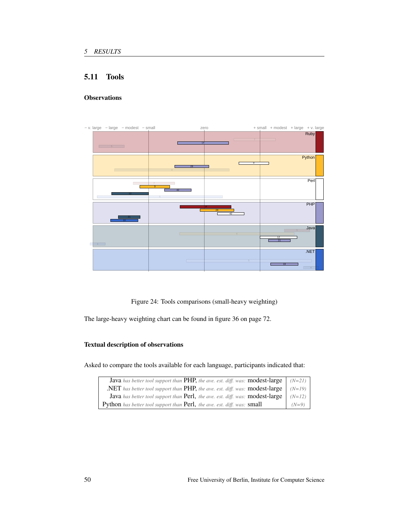# 5.11 Tools

# **Observations**



Figure 24: Tools comparisons (small-heavy weighting)

The large-heavy weighting chart can be found in figure 36 on page 72.

#### Textual description of observations

Asked to compare the tools available for each language, participants indicated that:

| Java has better tool support than PHP, the ave. est. diff. was: modest-large                   | $(N=21)$ |
|------------------------------------------------------------------------------------------------|----------|
| .NET has better tool support than PHP, the ave. est. diff. was: modest-large                   | $(N=19)$ |
| Java has better tool support than Perl, the ave. est. diff. was: modest-large                  | $(N=12)$ |
| <b>Python</b> has better tool support than <b>Perl</b> , the ave. est. diff. was: <b>small</b> | $(N=9)$  |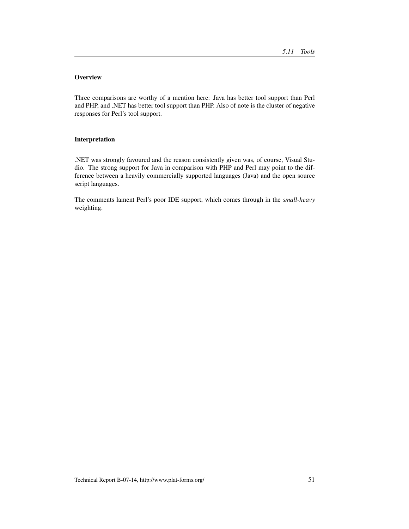Three comparisons are worthy of a mention here: Java has better tool support than Perl and PHP, and .NET has better tool support than PHP. Also of note is the cluster of negative responses for Perl's tool support.

#### Interpretation

.NET was strongly favoured and the reason consistently given was, of course, Visual Studio. The strong support for Java in comparison with PHP and Perl may point to the difference between a heavily commercially supported languages (Java) and the open source script languages.

The comments lament Perl's poor IDE support, which comes through in the *small-heavy* weighting.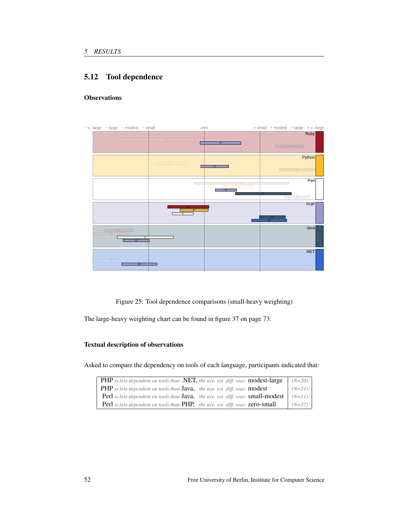# 5.12 Tool dependence

# **Observations**



Figure 25: Tool dependence comparisons (small-heavy weighting)

The large-heavy weighting chart can be found in figure 37 on page 73.

#### Textual description of observations

Asked to compare the dependency on tools of each language, participants indicated that:

| <b>PHP</b> is less dependent on tools than .NET, the ave. est. diff. was: modest-large                 | $(N=20)$ |
|--------------------------------------------------------------------------------------------------------|----------|
| <b>PHP</b> is less dependent on tools than <b>Java</b> , the ave. est. diff. was: <b>modest</b>        | $(N=21)$ |
| <b>Perl</b> is less dependent on tools than <b>Java</b> , the ave. est. diff. was: <b>small-modest</b> | $(N=11)$ |
| <b>Perl</b> is less dependent on tools than <b>PHP</b> , the ave. est. diff. was: <b>zero-small</b>    | $(N=37)$ |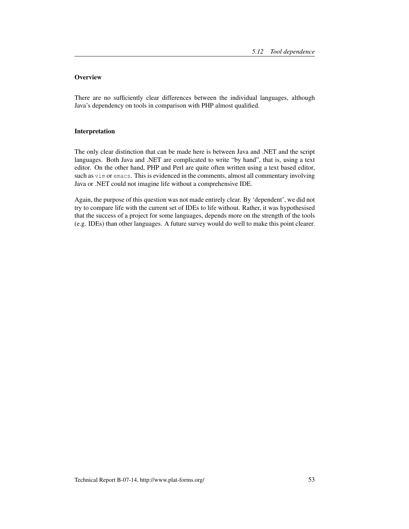There are no sufficiently clear differences between the individual languages, although Java's dependency on tools in comparison with PHP almost qualified.

#### Interpretation

The only clear distinction that can be made here is between Java and .NET and the script languages. Both Java and .NET are complicated to write "by hand", that is, using a text editor. On the other hand, PHP and Perl are quite often written using a text based editor, such as vim or emacs. This is evidenced in the comments, almost all commentary involving Java or .NET could not imagine life without a comprehensive IDE.

Again, the purpose of this question was not made entirely clear. By 'dependent', we did not try to compare life with the current set of IDEs to life without. Rather, it was hypothesised that the success of a project for some languages, depends more on the strength of the tools (e.g. IDEs) than other languages. A future survey would do well to make this point clearer.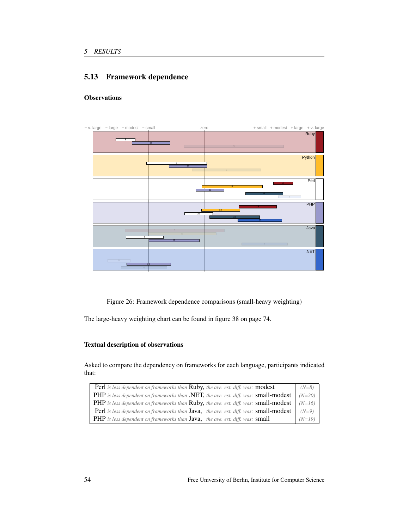# 5.13 Framework dependence

# **Observations**



Figure 26: Framework dependence comparisons (small-heavy weighting)

The large-heavy weighting chart can be found in figure 38 on page 74.

#### Textual description of observations

Asked to compare the dependency on frameworks for each language, participants indicated that:

| <b>Perl</b> is less dependent on frameworks than <b>Ruby</b> , the ave. est. diff. was: <b>modest</b>               | $(N=8)$  |
|---------------------------------------------------------------------------------------------------------------------|----------|
| PHP is less dependent on frameworks than .NET, the ave. est. diff. was: small-modest                                | $(N=20)$ |
| <b>PHP</b> is less dependent on frameworks than <b>Ruby</b> , the ave. est. diff. was: <b>small-modest</b> $(N=16)$ |          |
| Perl is less dependent on frameworks than Java, the ave. est. diff. was: small-modest                               | $(N=9)$  |
| <b>PHP</b> is less dependent on frameworks than <b>Java</b> , the ave. est. diff. was: <b>small</b>                 | $(N=19)$ |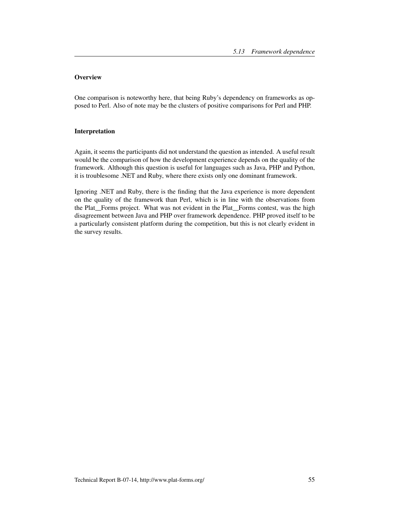One comparison is noteworthy here, that being Ruby's dependency on frameworks as opposed to Perl. Also of note may be the clusters of positive comparisons for Perl and PHP.

#### Interpretation

Again, it seems the participants did not understand the question as intended. A useful result would be the comparison of how the development experience depends on the quality of the framework. Although this question is useful for languages such as Java, PHP and Python, it is troublesome .NET and Ruby, where there exists only one dominant framework.

Ignoring .NET and Ruby, there is the finding that the Java experience is more dependent on the quality of the framework than Perl, which is in line with the observations from the Plat<sub>ro</sub>Forms project. What was not evident in the Plat<sub>ro</sub>Forms contest, was the high disagreement between Java and PHP over framework dependence. PHP proved itself to be a particularly consistent platform during the competition, but this is not clearly evident in the survey results.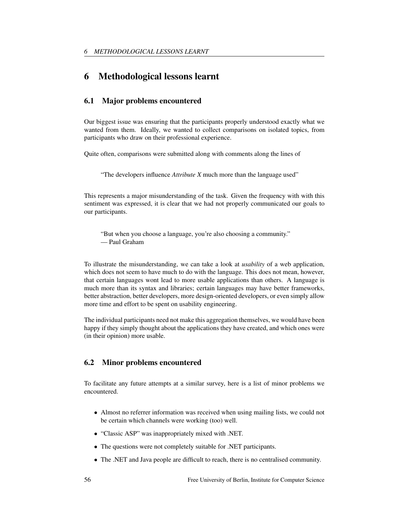# 6 Methodological lessons learnt

# 6.1 Major problems encountered

Our biggest issue was ensuring that the participants properly understood exactly what we wanted from them. Ideally, we wanted to collect comparisons on isolated topics, from participants who draw on their professional experience.

Quite often, comparisons were submitted along with comments along the lines of

"The developers influence *Attribute X* much more than the language used"

This represents a major misunderstanding of the task. Given the frequency with with this sentiment was expressed, it is clear that we had not properly communicated our goals to our participants.

"But when you choose a language, you're also choosing a community." — Paul Graham

To illustrate the misunderstanding, we can take a look at *usability* of a web application, which does not seem to have much to do with the language. This does not mean, however, that certain languages wont lead to more usable applications than others. A language is much more than its syntax and libraries; certain languages may have better frameworks, better abstraction, better developers, more design-oriented developers, or even simply allow more time and effort to be spent on usability engineering.

The individual participants need not make this aggregation themselves, we would have been happy if they simply thought about the applications they have created, and which ones were (in their opinion) more usable.

#### 6.2 Minor problems encountered

To facilitate any future attempts at a similar survey, here is a list of minor problems we encountered.

- Almost no referrer information was received when using mailing lists, we could not be certain which channels were working (too) well.
- "Classic ASP" was inappropriately mixed with .NET.
- The questions were not completely suitable for .NET participants.
- The .NET and Java people are difficult to reach, there is no centralised community.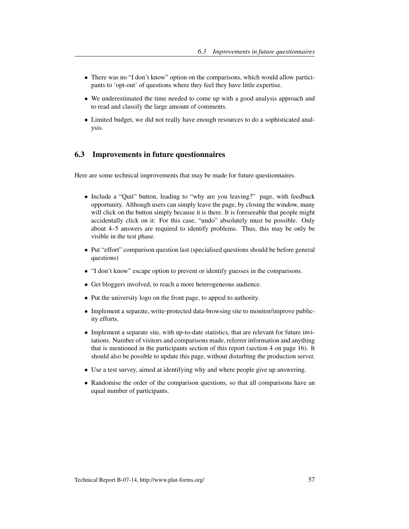- There was no "I don't know" option on the comparisons, which would allow participants to 'opt-out' of questions where they feel they have little expertise.
- We underestimated the time needed to come up with a good analysis approach and to read and classify the large amount of comments.
- Limited budget, we did not really have enough resources to do a sophisticated analysis.

# 6.3 Improvements in future questionnaires

Here are some technical improvements that may be made for future questionnaires.

- Include a "Quit" button, leading to "why are you leaving?" page, with feedback opportunity. Although users can simply leave the page, by closing the window, many will click on the button simply because it is there. It is foreseeable that people might accidentally click on it: For this case, "undo" absolutely must be possible. Only about 4–5 answers are required to identify problems. Thus, this may be only be visible in the test phase.
- Put "effort" comparison question last (specialised questions should be before general questions)
- "I don't know" escape option to prevent or identify guesses in the comparisons.
- Get bloggers involved, to reach a more heterogeneous audience.
- Put the university logo on the front page, to appeal to authority.
- Implement a separate, write-protected data-browsing site to monitor/improve publicity efforts.
- Implement a separate site, with up-to-date statistics, that are relevant for future invitations. Number of visitors and comparisons made, referrer information and anything that is mentioned in the participants section of this report (section 4 on page 16). It should also be possible to update this page, without disturbing the production server.
- Use a test survey, aimed at identifying why and where people give up answering.
- Randomise the order of the comparison questions, so that all comparisons have an equal number of participants.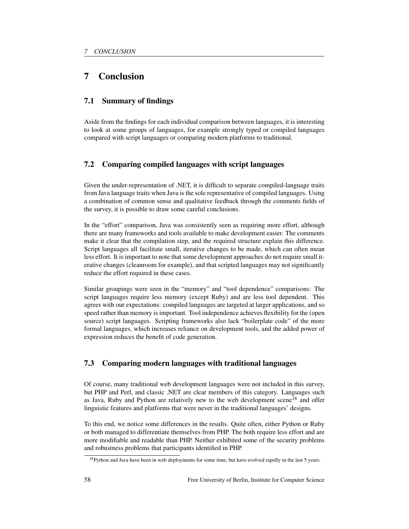# 7 Conclusion

# 7.1 Summary of findings

Aside from the findings for each individual comparison between languages, it is interesting to look at some groups of languages, for example strongly typed or compiled languages compared with script languages or comparing modern platforms to traditional.

# 7.2 Comparing compiled languages with script languages

Given the under-representation of .NET, it is difficult to separate compiled-language traits from Java language traits when Java is the sole representative of compiled languages. Using a combination of common sense and qualitative feedback through the comments fields of the survey, it is possible to draw some careful conclusions.

In the "effort" comparison, Java was consistently seen as requiring more effort, although there are many frameworks and tools available to make development easier. The comments make it clear that the compilation step, and the required structure explain this difference. Script languages all facilitate small, iterative changes to be made, which can often mean less effort. It is important to note that some development approaches do not require small iterative changes (cleanroom for example), and that scripted languages may not significantly reduce the effort required in these cases.

Similar groupings were seen in the "memory" and "tool dependence" comparisons: The script languages require less memory (except Ruby) and are less tool dependent. This agrees with our expectations: compiled languages are targeted at larger applications, and so speed rather than memory is important. Tool independence achieves flexibility for the (open source) script languages. Scripting frameworks also lack "boilerplate code" of the more formal languages, which increases reliance on development tools, and the added power of expression reduces the benefit of code generation.

# 7.3 Comparing modern languages with traditional languages

Of course, many traditional web development languages were not included in this survey, but PHP and Perl, and classic .NET are clear members of this category. Languages such as Java, Ruby and Python are relatively new to the web development scene<sup>18</sup> and offer linguistic features and platforms that were never in the traditional languages' designs.

To this end, we notice some differences in the results. Quite often, either Python or Ruby or both managed to differentiate themselves from PHP. The both require less effort and are more modifiable and readable than PHP. Neither exhibited some of the security problems and robustness problems that participants identified in PHP.

<sup>&</sup>lt;sup>18</sup>Python and Java have been in web deployments for some time, but have evolved rapidly in the last 5 years.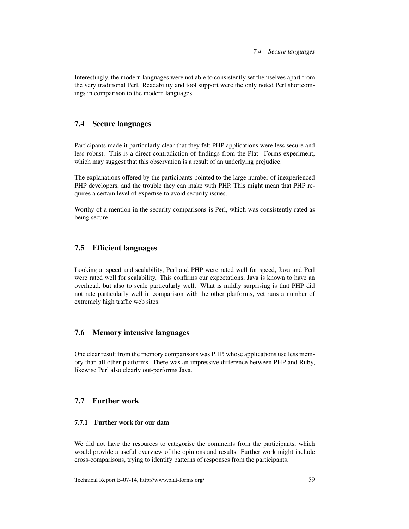Interestingly, the modern languages were not able to consistently set themselves apart from the very traditional Perl. Readability and tool support were the only noted Perl shortcomings in comparison to the modern languages.

#### 7.4 Secure languages

Participants made it particularly clear that they felt PHP applications were less secure and less robust. This is a direct contradiction of findings from the Plat<sub>-Forms</sub> experiment, which may suggest that this observation is a result of an underlying prejudice.

The explanations offered by the participants pointed to the large number of inexperienced PHP developers, and the trouble they can make with PHP. This might mean that PHP requires a certain level of expertise to avoid security issues.

Worthy of a mention in the security comparisons is Perl, which was consistently rated as being secure.

#### 7.5 Efficient languages

Looking at speed and scalability, Perl and PHP were rated well for speed, Java and Perl were rated well for scalability. This confirms our expectations, Java is known to have an overhead, but also to scale particularly well. What is mildly surprising is that PHP did not rate particularly well in comparison with the other platforms, yet runs a number of extremely high traffic web sites.

#### 7.6 Memory intensive languages

One clear result from the memory comparisons was PHP, whose applications use less memory than all other platforms. There was an impressive difference between PHP and Ruby, likewise Perl also clearly out-performs Java.

# 7.7 Further work

#### 7.7.1 Further work for our data

We did not have the resources to categorise the comments from the participants, which would provide a useful overview of the opinions and results. Further work might include cross-comparisons, trying to identify patterns of responses from the participants.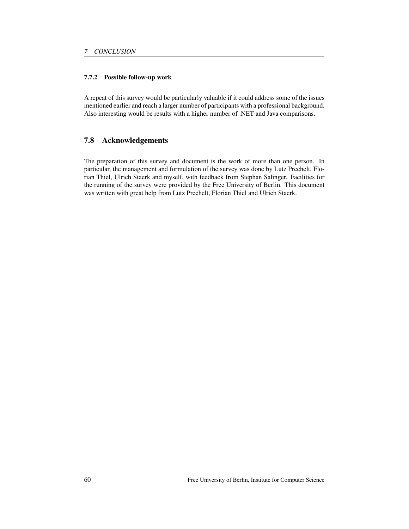#### 7.7.2 Possible follow-up work

A repeat of this survey would be particularly valuable if it could address some of the issues mentioned earlier and reach a larger number of participants with a professional background. Also interesting would be results with a higher number of .NET and Java comparisons.

# 7.8 Acknowledgements

The preparation of this survey and document is the work of more than one person. In particular, the management and formulation of the survey was done by Lutz Prechelt, Florian Thiel, Ulrich Staerk and myself, with feedback from Stephan Salinger. Facilities for the running of the survey were provided by the Free University of Berlin. This document was written with great help from Lutz Prechelt, Florian Thiel and Ulrich Staerk.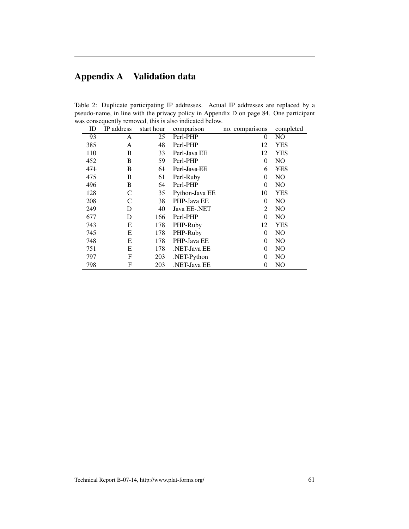# Appendix A Validation data

Table 2: Duplicate participating IP addresses. Actual IP addresses are replaced by a pseudo-name, in line with the privacy policy in Appendix D on page 84. One participant was consequently removed, this is also indicated below.

| ID  | IP address | start hour | comparison     | no. comparisons | completed      |
|-----|------------|------------|----------------|-----------------|----------------|
| 93  | A          | 25         | Perl-PHP       | $\theta$        | N <sub>O</sub> |
| 385 | A          | 48         | Perl-PHP       | 12              | <b>YES</b>     |
| 110 | B          | 33         | Perl-Java EE   | 12              | <b>YES</b>     |
| 452 | B          | 59         | Perl-PHP       | $\theta$        | N <sub>O</sub> |
| 471 | B          | $6+$       | Perl-Java EE   | 6               | <b>YES</b>     |
| 475 | B          | 61         | Perl-Ruby      | $\Omega$        | N <sub>O</sub> |
| 496 | B          | 64         | Perl-PHP       | $\Omega$        | N <sub>O</sub> |
| 128 | C          | 35         | Python-Java EE | 10              | <b>YES</b>     |
| 208 | C          | 38         | PHP-Java EE    | $\Omega$        | N <sub>O</sub> |
| 249 | D          | 40         | Java EE-.NET   | 2               | N <sub>O</sub> |
| 677 | D          | 166        | Perl-PHP       | $\Omega$        | N <sub>O</sub> |
| 743 | E          | 178        | PHP-Ruby       | 12              | <b>YES</b>     |
| 745 | E          | 178        | PHP-Ruby       | $\Omega$        | N <sub>O</sub> |
| 748 | E          | 178        | PHP-Java EE    | $\Omega$        | NO.            |
| 751 | Е          | 178        | NET-Java EE    | $\Omega$        | N <sub>O</sub> |
| 797 | F          | 203        | .NET-Python    | $\Omega$        | N <sub>O</sub> |
| 798 | F          | 203        | .NET-Java EE   | 0               | N <sub>O</sub> |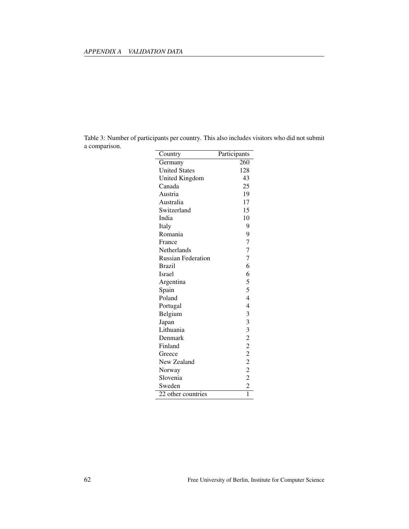| Table 3: Number of participants per country. This also includes visitors who did not submit |  |  |  |
|---------------------------------------------------------------------------------------------|--|--|--|
| a comparison.                                                                               |  |  |  |

| Country                   | Participants   |
|---------------------------|----------------|
| Germany                   | 260            |
| <b>United States</b>      | 128            |
| United Kingdom            | 43             |
| Canada                    | 25             |
| Austria                   | 19             |
| Australia                 | 17             |
| Switzerland               | 15             |
| India                     | 10             |
| Italy                     | 9              |
| Romania                   | 9              |
| France                    | 7              |
| Netherlands               | 7              |
| <b>Russian Federation</b> | 7              |
| <b>Brazil</b>             | 6              |
| <b>Israel</b>             | 6              |
| Argentina                 | 5              |
| Spain                     | 5              |
| Poland                    | $\overline{4}$ |
| Portugal                  | $\overline{4}$ |
| Belgium                   |                |
| Japan                     |                |
| Lithuania                 |                |
| Denmark                   |                |
| Finland                   |                |
| Greece                    |                |
| New Zealand               | 33322222       |
| Norway                    |                |
| Slovenia                  |                |
| Sweden                    | $\overline{c}$ |
| 22 other countries        | $\overline{1}$ |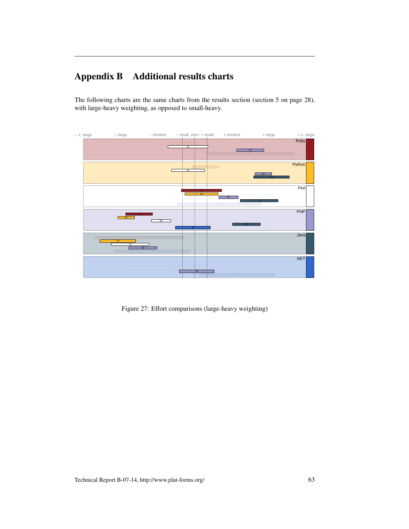# Appendix B Additional results charts

The following charts are the same charts from the results section (section 5 on page 28), with large-heavy weighting, as opposed to small-heavy.



Figure 27: Effort comparisons (large-heavy weighting)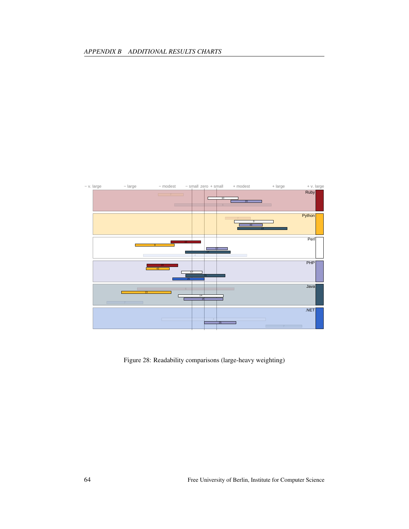

Figure 28: Readability comparisons (large-heavy weighting)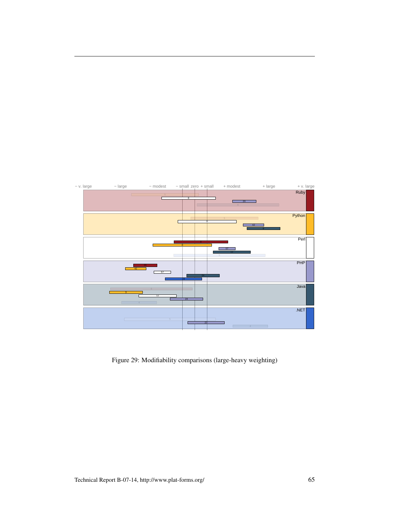

Figure 29: Modifiability comparisons (large-heavy weighting)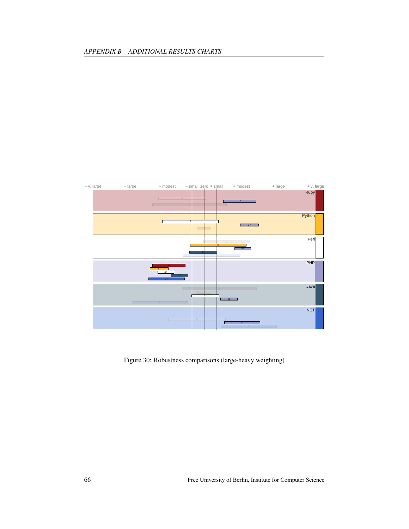

Figure 30: Robustness comparisons (large-heavy weighting)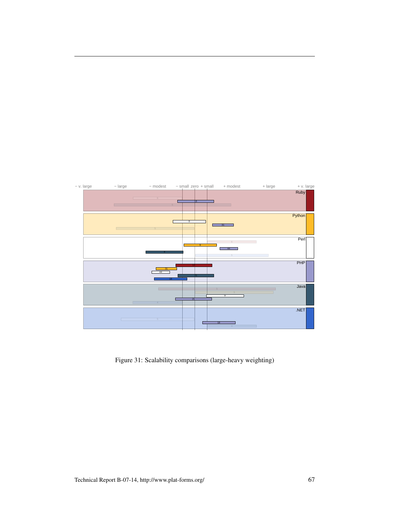

Figure 31: Scalability comparisons (large-heavy weighting)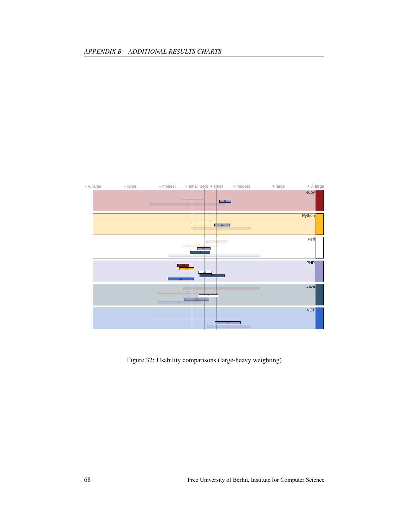

Figure 32: Usability comparisons (large-heavy weighting)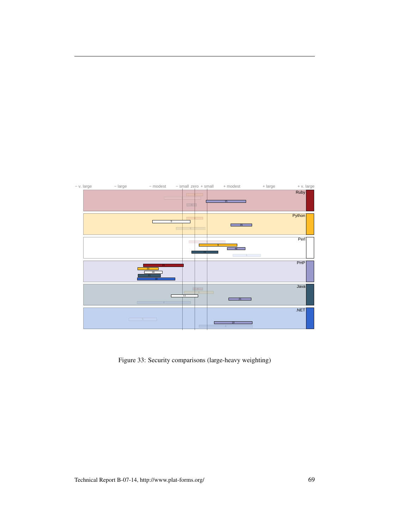

Figure 33: Security comparisons (large-heavy weighting)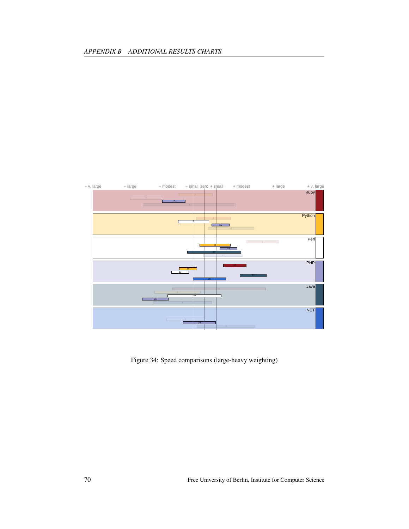

Figure 34: Speed comparisons (large-heavy weighting)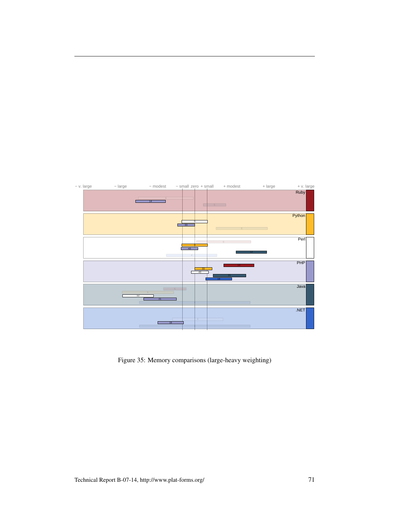

Figure 35: Memory comparisons (large-heavy weighting)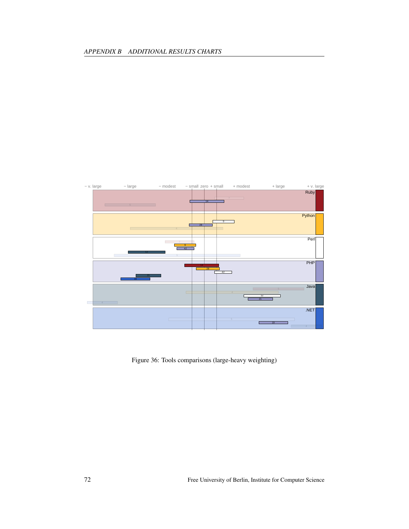

Figure 36: Tools comparisons (large-heavy weighting)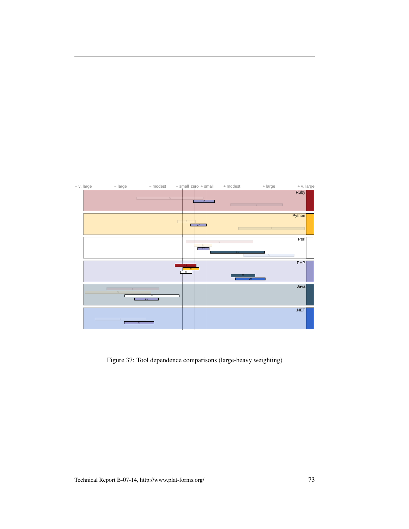

Figure 37: Tool dependence comparisons (large-heavy weighting)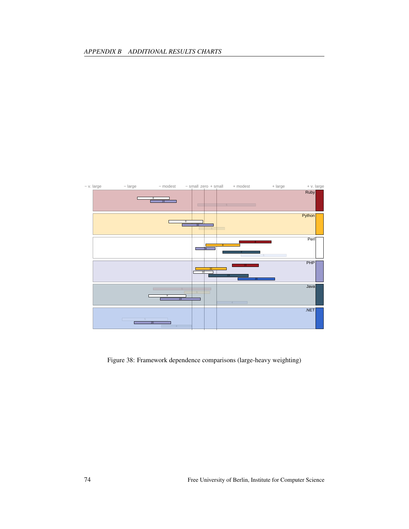

Figure 38: Framework dependence comparisons (large-heavy weighting)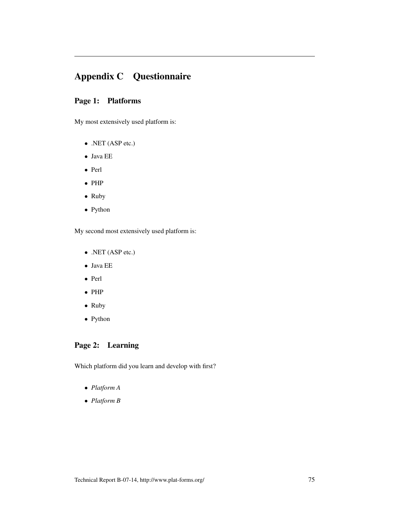# Appendix C Questionnaire

## Page 1: Platforms

My most extensively used platform is:

- .NET (ASP etc.)
- Java EE
- Perl
- PHP
- Ruby
- Python

My second most extensively used platform is:

- .NET (ASP etc.)
- Java EE
- Perl
- PHP
- Ruby
- Python

## Page 2: Learning

Which platform did you learn and develop with first?

- *Platform A*
- *Platform B*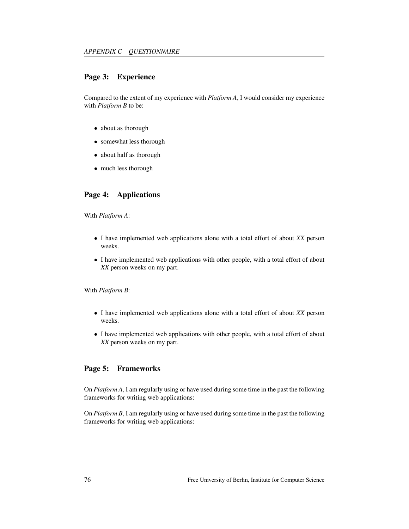## Page 3: Experience

Compared to the extent of my experience with *Platform A*, I would consider my experience with *Platform B* to be:

- about as thorough
- somewhat less thorough
- about half as thorough
- much less thorough

## Page 4: Applications

With *Platform A*:

- I have implemented web applications alone with a total effort of about *XX* person weeks.
- I have implemented web applications with other people, with a total effort of about *XX* person weeks on my part.

With *Platform B*:

- I have implemented web applications alone with a total effort of about *XX* person weeks.
- I have implemented web applications with other people, with a total effort of about *XX* person weeks on my part.

#### Page 5: Frameworks

On *Platform A*, I am regularly using or have used during some time in the past the following frameworks for writing web applications:

On *Platform B*, I am regularly using or have used during some time in the past the following frameworks for writing web applications: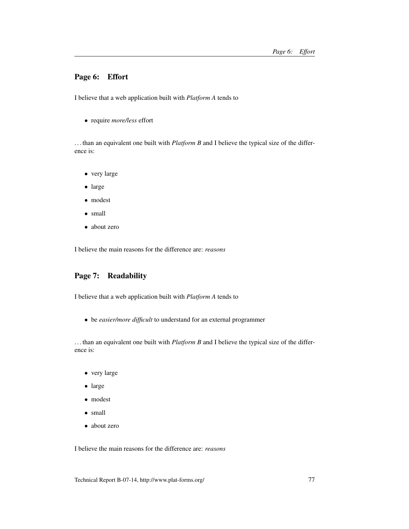## Page 6: Effort

I believe that a web application built with *Platform A* tends to

• require *more/less* effort

. . . than an equivalent one built with *Platform B* and I believe the typical size of the difference is:

- very large
- large
- modest
- small
- about zero

I believe the main reasons for the difference are: *reasons*

# Page 7: Readability

I believe that a web application built with *Platform A* tends to

• be *easier/more difficult* to understand for an external programmer

. . . than an equivalent one built with *Platform B* and I believe the typical size of the difference is:

- very large
- large
- modest
- small
- about zero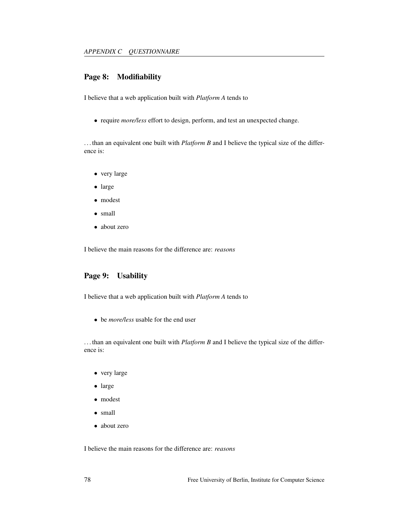## Page 8: Modifiability

I believe that a web application built with *Platform A* tends to

• require *more/less* effort to design, perform, and test an unexpected change.

. . . than an equivalent one built with *Platform B* and I believe the typical size of the difference is:

- very large
- large
- modest
- small
- about zero

I believe the main reasons for the difference are: *reasons*

## Page 9: Usability

I believe that a web application built with *Platform A* tends to

• be *more/less* usable for the end user

. . . than an equivalent one built with *Platform B* and I believe the typical size of the difference is:

- very large
- large
- modest
- small
- about zero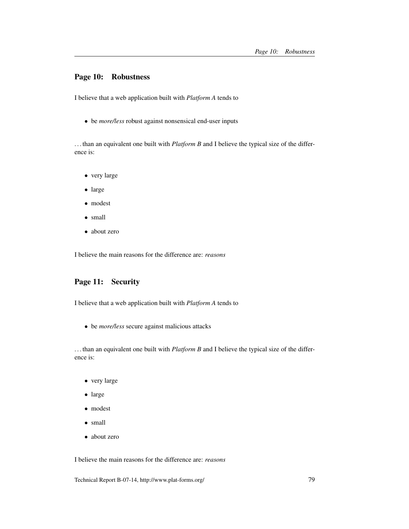#### Page 10: Robustness

I believe that a web application built with *Platform A* tends to

• be *more/less* robust against nonsensical end-user inputs

. . . than an equivalent one built with *Platform B* and I believe the typical size of the difference is:

- very large
- large
- modest
- small
- about zero

I believe the main reasons for the difference are: *reasons*

## Page 11: Security

I believe that a web application built with *Platform A* tends to

• be *more/less* secure against malicious attacks

. . . than an equivalent one built with *Platform B* and I believe the typical size of the difference is:

- very large
- large
- modest
- small
- about zero

I believe the main reasons for the difference are: *reasons*

Technical Report B-07-14, http://www.plat-forms.org/ 79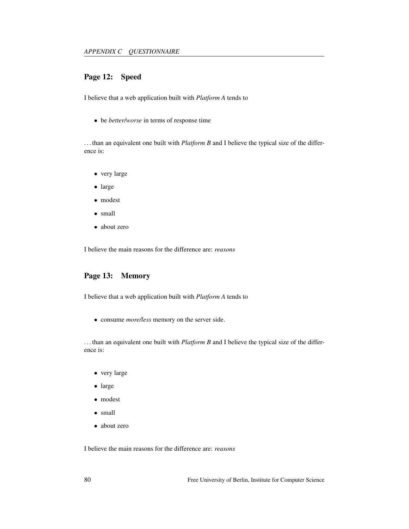## Page 12: Speed

I believe that a web application built with *Platform A* tends to

• be *better/worse* in terms of response time

. . . than an equivalent one built with *Platform B* and I believe the typical size of the difference is:

- very large
- large
- modest
- small
- about zero

I believe the main reasons for the difference are: *reasons*

## Page 13: Memory

I believe that a web application built with *Platform A* tends to

• consume *more/less* memory on the server side.

. . . than an equivalent one built with *Platform B* and I believe the typical size of the difference is:

- very large
- large
- modest
- small
- about zero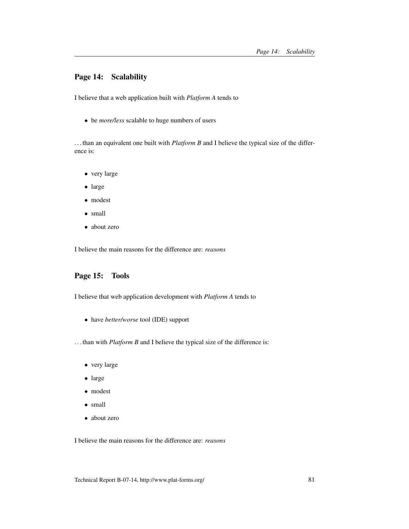## Page 14: Scalability

I believe that a web application built with *Platform A* tends to

• be *more/less* scalable to huge numbers of users

. . . than an equivalent one built with *Platform B* and I believe the typical size of the difference is:

- very large
- large
- modest
- small
- about zero

I believe the main reasons for the difference are: *reasons*

## Page 15: Tools

I believe that web application development with *Platform A* tends to

• have *better/worse* tool (IDE) support

. . . than with *Platform B* and I believe the typical size of the difference is:

- very large
- large
- modest
- small
- about zero

I believe the main reasons for the difference are: *reasons*

Technical Report B-07-14, http://www.plat-forms.org/ 81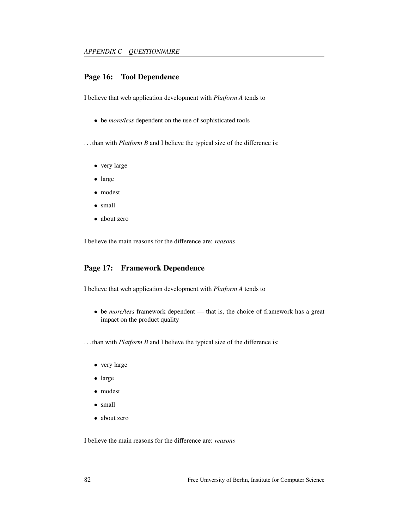## Page 16: Tool Dependence

I believe that web application development with *Platform A* tends to

• be *more/less* dependent on the use of sophisticated tools

. . . than with *Platform B* and I believe the typical size of the difference is:

- very large
- large
- modest
- small
- about zero

I believe the main reasons for the difference are: *reasons*

#### Page 17: Framework Dependence

I believe that web application development with *Platform A* tends to

- be *more/less* framework dependent that is, the choice of framework has a great impact on the product quality
- . . . than with *Platform B* and I believe the typical size of the difference is:
	- very large
	- large
	- modest
	- small
	- about zero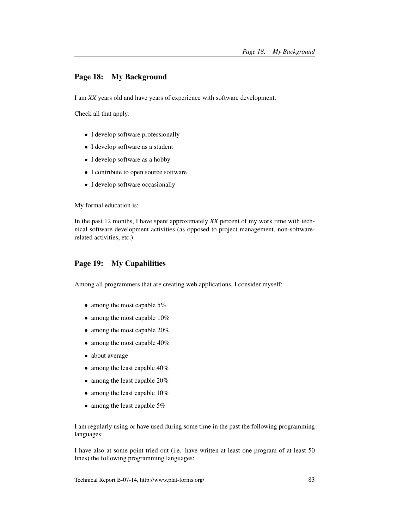## Page 18: My Background

I am *XX* years old and have years of experience with software development.

Check all that apply:

- I develop software professionally
- I develop software as a student
- I develop software as a hobby
- I contribute to open source software
- I develop software occasionally

My formal education is:

In the past 12 months, I have spent approximately *XX* percent of my work time with technical software development activities (as opposed to project management, non-softwarerelated activities, etc.)

#### Page 19: My Capabilities

Among all programmers that are creating web applications, I consider myself:

- among the most capable 5%
- among the most capable 10%
- among the most capable 20%
- among the most capable 40%
- about average
- among the least capable 40%
- among the least capable 20%
- among the least capable 10%
- among the least capable 5%

I am regularly using or have used during some time in the past the following programming languages:

I have also at some point tried out (i.e. have written at least one program of at least 50 lines) the following programming languages: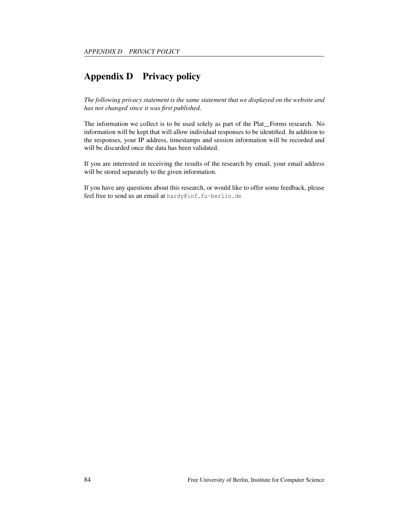# Appendix D Privacy policy

*The following privacy statement is the same statement that we displayed on the website and has not changed since it was first published.*

The information we collect is to be used solely as part of the Plat\_Forms research. No information will be kept that will allow individual responses to be identified. In addition to the responses, your IP address, timestamps and session information will be recorded and will be discarded once the data has been validated.

If you are interested in receiving the results of the research by email, your email address will be stored separately to the given information.

If you have any questions about this research, or would like to offer some feedback, please feel free to send us an email at hardy@inf.fu-berlin.de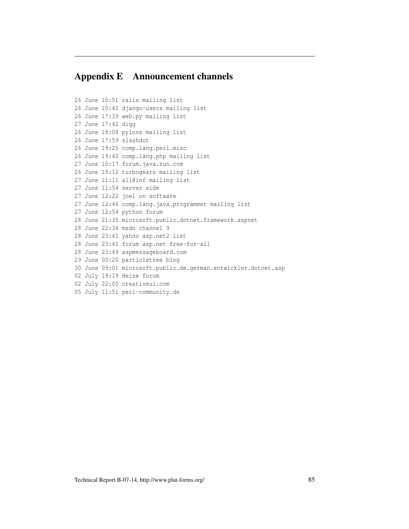# Appendix E Announcement channels

```
26 June 10:51 rails mailing list
26 June 10:40 django-users mailing list
26 June 17:39 web.py mailing list
27 June 17:42 digg
26 June 18:08 pylons mailing list
26 June 17:59 slashdot
26 June 19:25 comp.lang.perl.misc
26 June 19:40 comp.lang.php mailing list
27 June 10:17 forum.java.sun.com
26 June 18:12 turbogears mailing list
27 June 11:11 all@inf mailing list
27 June 11:54 server side
27 June 12:22 joel on software
27 June 12:46 comp.lang.java.programmer mailing list
27 June 12:54 python forum
28 June 21:35 microsoft.public.dotnet.framework.aspnet
28 June 22:34 msdn channel 9
28 June 23:41 yahoo asp.net2 list
28 June 23:41 forum asp.net free-for-all
28 June 23:49 aspmessageboard.com
29 June 00:20 particletree blog
30 June 09:01 microsoft.public.de.german.entwickler.dotnet.asp
02 July 19:19 Heise forum
02 July 22:00 creativeui.com
05 July 11:51 perl-community.de
```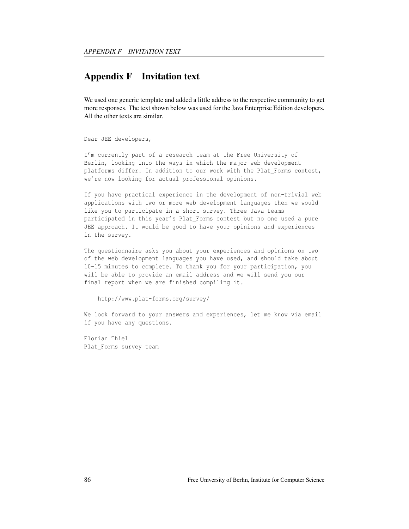## Appendix F Invitation text

We used one generic template and added a little address to the respective community to get more responses. The text shown below was used for the Java Enterprise Edition developers. All the other texts are similar.

Dear JEE developers,

I'm currently part of a research team at the Free University of Berlin, looking into the ways in which the major web development platforms differ. In addition to our work with the Plat\_Forms contest, we're now looking for actual professional opinions.

If you have practical experience in the development of non-trivial web applications with two or more web development languages then we would like you to participate in a short survey. Three Java teams participated in this year's Plat\_Forms contest but no one used a pure JEE approach. It would be good to have your opinions and experiences in the survey.

The questionnaire asks you about your experiences and opinions on two of the web development languages you have used, and should take about 10-15 minutes to complete. To thank you for your participation, you will be able to provide an email address and we will send you our final report when we are finished compiling it.

```
http://www.plat-forms.org/survey/
```
We look forward to your answers and experiences, let me know via email if you have any questions.

Florian Thiel Plat\_Forms survey team